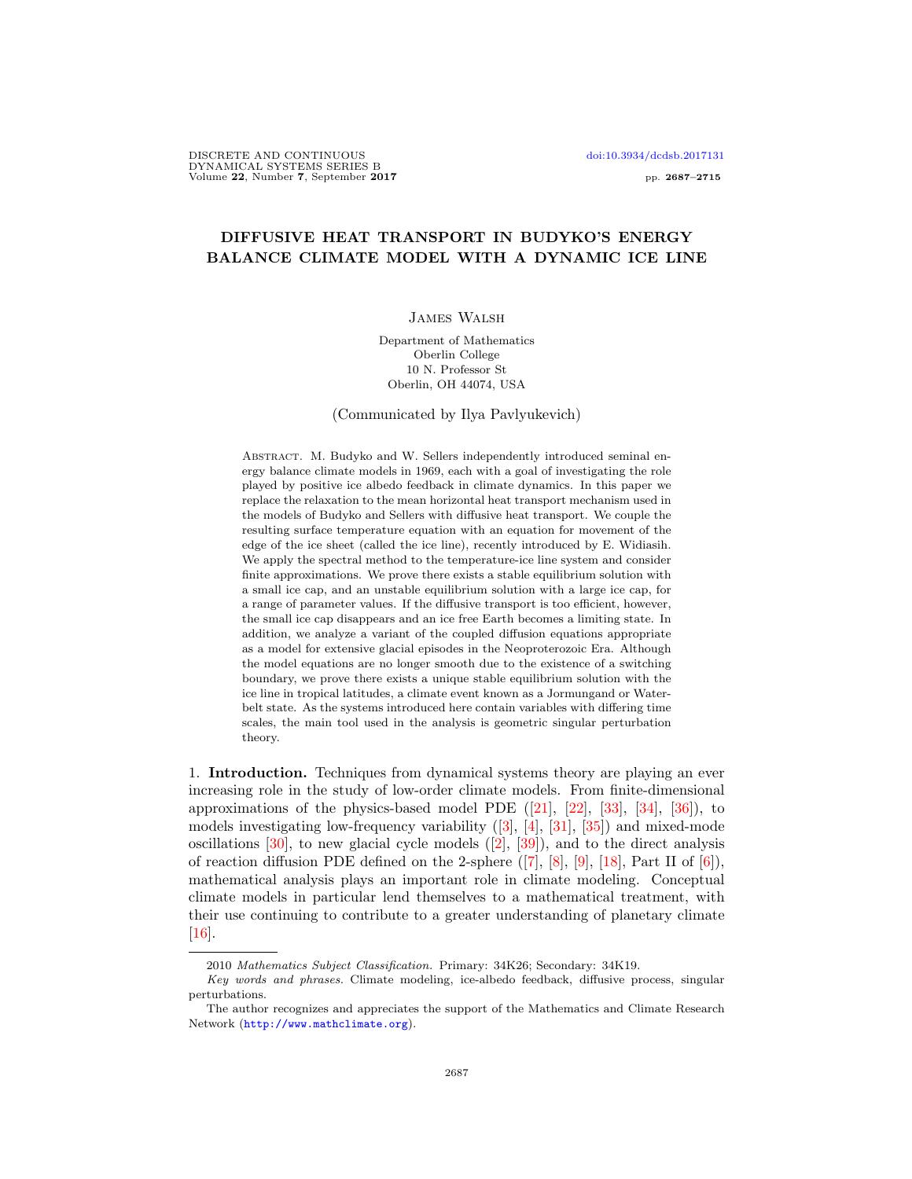# DIFFUSIVE HEAT TRANSPORT IN BUDYKO'S ENERGY BALANCE CLIMATE MODEL WITH A DYNAMIC ICE LINE

# James Walsh

Department of Mathematics Oberlin College 10 N. Professor St Oberlin, OH 44074, USA

(Communicated by Ilya Pavlyukevich)

ABSTRACT. M. Budyko and W. Sellers independently introduced seminal energy balance climate models in 1969, each with a goal of investigating the role played by positive ice albedo feedback in climate dynamics. In this paper we replace the relaxation to the mean horizontal heat transport mechanism used in the models of Budyko and Sellers with diffusive heat transport. We couple the resulting surface temperature equation with an equation for movement of the edge of the ice sheet (called the ice line), recently introduced by E. Widiasih. We apply the spectral method to the temperature-ice line system and consider finite approximations. We prove there exists a stable equilibrium solution with a small ice cap, and an unstable equilibrium solution with a large ice cap, for a range of parameter values. If the diffusive transport is too efficient, however, the small ice cap disappears and an ice free Earth becomes a limiting state. In addition, we analyze a variant of the coupled diffusion equations appropriate as a model for extensive glacial episodes in the Neoproterozoic Era. Although the model equations are no longer smooth due to the existence of a switching boundary, we prove there exists a unique stable equilibrium solution with the ice line in tropical latitudes, a climate event known as a Jormungand or Waterbelt state. As the systems introduced here contain variables with differing time scales, the main tool used in the analysis is geometric singular perturbation theory.

1. Introduction. Techniques from dynamical systems theory are playing an ever increasing role in the study of low-order climate models. From finite-dimensional approximations of the physics-based model PDE  $([21], [22], [33], [34], [36])$  $([21], [22], [33], [34], [36])$  $([21], [22], [33], [34], [36])$  $([21], [22], [33], [34], [36])$  $([21], [22], [33], [34], [36])$  $([21], [22], [33], [34], [36])$  $([21], [22], [33], [34], [36])$  $([21], [22], [33], [34], [36])$  $([21], [22], [33], [34], [36])$  $([21], [22], [33], [34], [36])$  $([21], [22], [33], [34], [36])$ , to models investigating low-frequency variability ([\[3\]](#page-26-0), [\[4\]](#page-26-1), [\[31\]](#page-27-5), [\[35\]](#page-27-6)) and mixed-mode oscillations  $[30]$ , to new glacial cycle models  $([2], [39])$  $([2], [39])$  $([2], [39])$  $([2], [39])$  $([2], [39])$ , and to the direct analysis of reaction diffusion PDE defined on the 2-sphere  $([7], [8], [9], [18],$  $([7], [8], [9], [18],$  $([7], [8], [9], [18],$  $([7], [8], [9], [18],$  $([7], [8], [9], [18],$  $([7], [8], [9], [18],$  $([7], [8], [9], [18],$  $([7], [8], [9], [18],$  $([7], [8], [9], [18],$  Part II of  $[6]$ ), mathematical analysis plays an important role in climate modeling. Conceptual climate models in particular lend themselves to a mathematical treatment, with their use continuing to contribute to a greater understanding of planetary climate  $\left[16\right]$ .

<sup>2010</sup> Mathematics Subject Classification. Primary: 34K26; Secondary: 34K19.

Key words and phrases. Climate modeling, ice-albedo feedback, diffusive process, singular perturbations.

The author recognizes and appreciates the support of the Mathematics and Climate Research Network (<http://www.mathclimate.org>).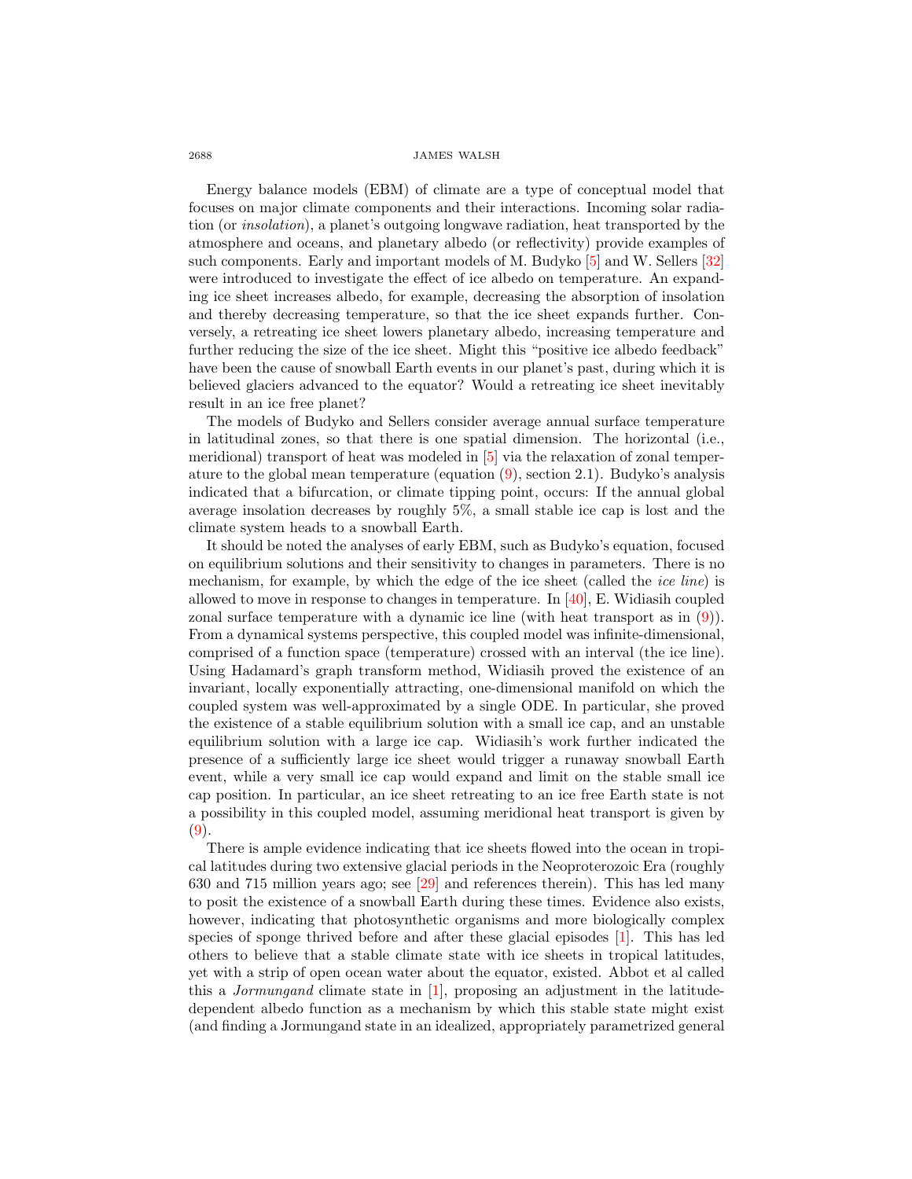Energy balance models (EBM) of climate are a type of conceptual model that focuses on major climate components and their interactions. Incoming solar radiation (or insolation), a planet's outgoing longwave radiation, heat transported by the atmosphere and oceans, and planetary albedo (or reflectivity) provide examples of such components. Early and important models of M. Budyko [\[5\]](#page-26-7) and W. Sellers [\[32\]](#page-27-10) were introduced to investigate the effect of ice albedo on temperature. An expanding ice sheet increases albedo, for example, decreasing the absorption of insolation and thereby decreasing temperature, so that the ice sheet expands further. Conversely, a retreating ice sheet lowers planetary albedo, increasing temperature and further reducing the size of the ice sheet. Might this "positive ice albedo feedback" have been the cause of snowball Earth events in our planet's past, during which it is believed glaciers advanced to the equator? Would a retreating ice sheet inevitably result in an ice free planet?

The models of Budyko and Sellers consider average annual surface temperature in latitudinal zones, so that there is one spatial dimension. The horizontal (i.e., meridional) transport of heat was modeled in [\[5\]](#page-26-7) via the relaxation of zonal temperature to the global mean temperature (equation [\(9\)](#page-4-0), section 2.1). Budyko's analysis indicated that a bifurcation, or climate tipping point, occurs: If the annual global average insolation decreases by roughly 5%, a small stable ice cap is lost and the climate system heads to a snowball Earth.

It should be noted the analyses of early EBM, such as Budyko's equation, focused on equilibrium solutions and their sensitivity to changes in parameters. There is no mechanism, for example, by which the edge of the ice sheet (called the *ice line*) is allowed to move in response to changes in temperature. In [\[40\]](#page-28-1), E. Widiasih coupled zonal surface temperature with a dynamic ice line (with heat transport as in [\(9\)](#page-4-0)). From a dynamical systems perspective, this coupled model was infinite-dimensional, comprised of a function space (temperature) crossed with an interval (the ice line). Using Hadamard's graph transform method, Widiasih proved the existence of an invariant, locally exponentially attracting, one-dimensional manifold on which the coupled system was well-approximated by a single ODE. In particular, she proved the existence of a stable equilibrium solution with a small ice cap, and an unstable equilibrium solution with a large ice cap. Widiasih's work further indicated the presence of a sufficiently large ice sheet would trigger a runaway snowball Earth event, while a very small ice cap would expand and limit on the stable small ice cap position. In particular, an ice sheet retreating to an ice free Earth state is not a possibility in this coupled model, assuming meridional heat transport is given by [\(9\)](#page-4-0).

There is ample evidence indicating that ice sheets flowed into the ocean in tropical latitudes during two extensive glacial periods in the Neoproterozoic Era (roughly 630 and 715 million years ago; see [\[29\]](#page-27-11) and references therein). This has led many to posit the existence of a snowball Earth during these times. Evidence also exists, however, indicating that photosynthetic organisms and more biologically complex species of sponge thrived before and after these glacial episodes [\[1\]](#page-26-8). This has led others to believe that a stable climate state with ice sheets in tropical latitudes, yet with a strip of open ocean water about the equator, existed. Abbot et al called this a Jormungand climate state in [\[1\]](#page-26-8), proposing an adjustment in the latitudedependent albedo function as a mechanism by which this stable state might exist (and finding a Jormungand state in an idealized, appropriately parametrized general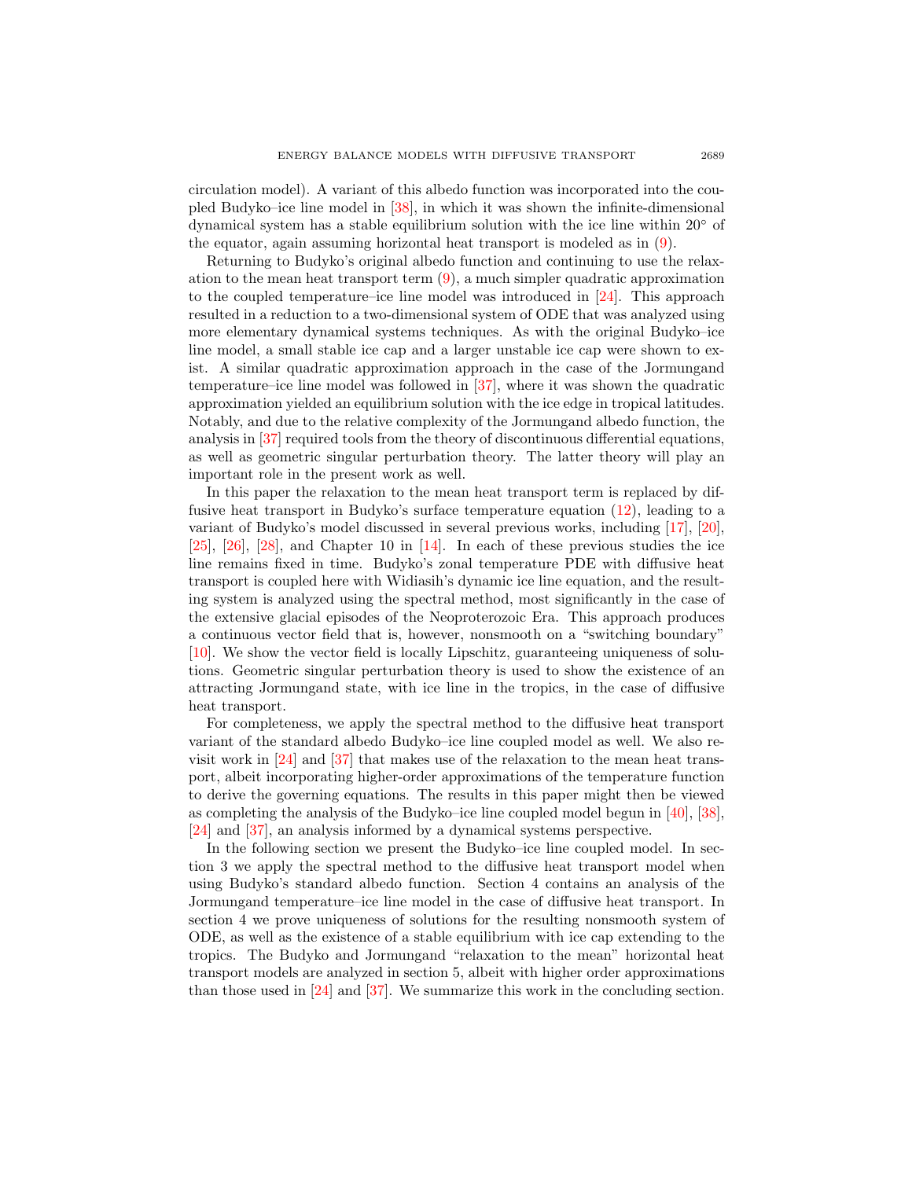circulation model). A variant of this albedo function was incorporated into the coupled Budyko–ice line model in [\[38\]](#page-28-2), in which it was shown the infinite-dimensional dynamical system has a stable equilibrium solution with the ice line within 20◦ of the equator, again assuming horizontal heat transport is modeled as in [\(9\)](#page-4-0).

Returning to Budyko's original albedo function and continuing to use the relaxation to the mean heat transport term  $(9)$ , a much simpler quadratic approximation to the coupled temperature–ice line model was introduced in [\[24\]](#page-27-12). This approach resulted in a reduction to a two-dimensional system of ODE that was analyzed using more elementary dynamical systems techniques. As with the original Budyko–ice line model, a small stable ice cap and a larger unstable ice cap were shown to exist. A similar quadratic approximation approach in the case of the Jormungand temperature–ice line model was followed in [\[37\]](#page-28-3), where it was shown the quadratic approximation yielded an equilibrium solution with the ice edge in tropical latitudes. Notably, and due to the relative complexity of the Jormungand albedo function, the analysis in [\[37\]](#page-28-3) required tools from the theory of discontinuous differential equations, as well as geometric singular perturbation theory. The latter theory will play an important role in the present work as well.

In this paper the relaxation to the mean heat transport term is replaced by diffusive heat transport in Budyko's surface temperature equation [\(12\)](#page-5-0), leading to a variant of Budyko's model discussed in several previous works, including [\[17\]](#page-27-13), [\[20\]](#page-27-14), [\[25\]](#page-27-15), [\[26\]](#page-27-16), [\[28\]](#page-27-17), and Chapter 10 in [\[14\]](#page-27-18). In each of these previous studies the ice line remains fixed in time. Budyko's zonal temperature PDE with diffusive heat transport is coupled here with Widiasih's dynamic ice line equation, and the resulting system is analyzed using the spectral method, most significantly in the case of the extensive glacial episodes of the Neoproterozoic Era. This approach produces a continuous vector field that is, however, nonsmooth on a "switching boundary" [\[10\]](#page-27-19). We show the vector field is locally Lipschitz, guaranteeing uniqueness of solutions. Geometric singular perturbation theory is used to show the existence of an attracting Jormungand state, with ice line in the tropics, in the case of diffusive heat transport.

For completeness, we apply the spectral method to the diffusive heat transport variant of the standard albedo Budyko–ice line coupled model as well. We also revisit work in [\[24\]](#page-27-12) and [\[37\]](#page-28-3) that makes use of the relaxation to the mean heat transport, albeit incorporating higher-order approximations of the temperature function to derive the governing equations. The results in this paper might then be viewed as completing the analysis of the Budyko–ice line coupled model begun in [\[40\]](#page-28-1), [\[38\]](#page-28-2), [\[24\]](#page-27-12) and [\[37\]](#page-28-3), an analysis informed by a dynamical systems perspective.

In the following section we present the Budyko–ice line coupled model. In section 3 we apply the spectral method to the diffusive heat transport model when using Budyko's standard albedo function. Section 4 contains an analysis of the Jormungand temperature–ice line model in the case of diffusive heat transport. In section 4 we prove uniqueness of solutions for the resulting nonsmooth system of ODE, as well as the existence of a stable equilibrium with ice cap extending to the tropics. The Budyko and Jormungand "relaxation to the mean" horizontal heat transport models are analyzed in section 5, albeit with higher order approximations than those used in [\[24\]](#page-27-12) and [\[37\]](#page-28-3). We summarize this work in the concluding section.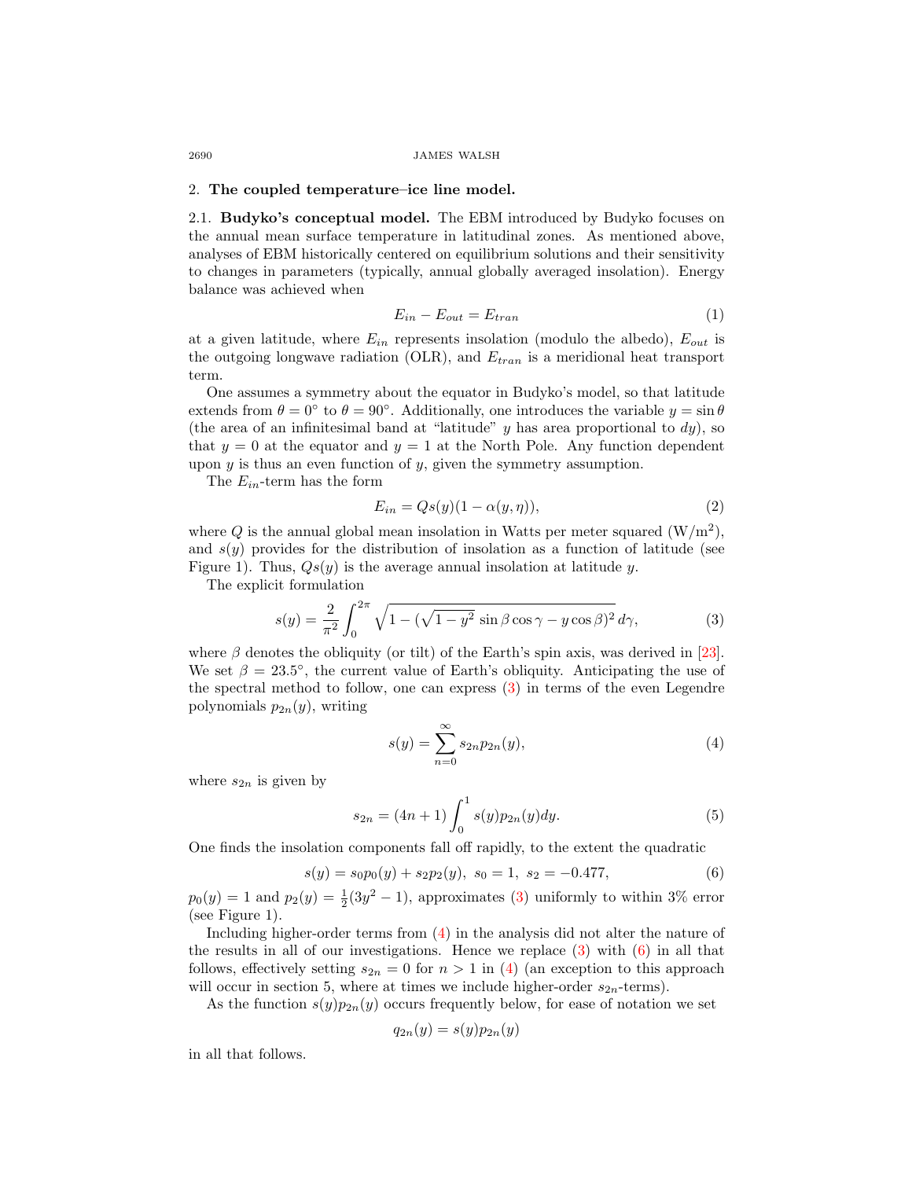# 2. The coupled temperature–ice line model.

2.1. Budyko's conceptual model. The EBM introduced by Budyko focuses on the annual mean surface temperature in latitudinal zones. As mentioned above, analyses of EBM historically centered on equilibrium solutions and their sensitivity to changes in parameters (typically, annual globally averaged insolation). Energy balance was achieved when

<span id="page-3-4"></span>
$$
E_{in} - E_{out} = E_{tran} \tag{1}
$$

at a given latitude, where  $E_{in}$  represents insolation (modulo the albedo),  $E_{out}$  is the outgoing longwave radiation (OLR), and  $E_{tran}$  is a meridional heat transport term.

One assumes a symmetry about the equator in Budyko's model, so that latitude extends from  $\theta = 0^{\circ}$  to  $\theta = 90^{\circ}$ . Additionally, one introduces the variable  $y = \sin \theta$ (the area of an infinitesimal band at "latitude"  $y$  has area proportional to  $dy$ ), so that  $y = 0$  at the equator and  $y = 1$  at the North Pole. Any function dependent upon  $y$  is thus an even function of  $y$ , given the symmetry assumption.

The  $E_{in}$ -term has the form

<span id="page-3-3"></span>
$$
E_{in} = Qs(y)(1 - \alpha(y, \eta)),\tag{2}
$$

where Q is the annual global mean insolation in Watts per meter squared  $(W/m^2)$ , and  $s(y)$  provides for the distribution of insolation as a function of latitude (see Figure 1). Thus,  $Qs(y)$  is the average annual insolation at latitude y.

The explicit formulation

<span id="page-3-0"></span>
$$
s(y) = \frac{2}{\pi^2} \int_0^{2\pi} \sqrt{1 - (\sqrt{1 - y^2} \sin \beta \cos \gamma - y \cos \beta)^2} \, d\gamma,\tag{3}
$$

where  $\beta$  denotes the obliquity (or tilt) of the Earth's spin axis, was derived in [\[23\]](#page-27-20). We set  $\beta = 23.5^{\circ}$ , the current value of Earth's obliquity. Anticipating the use of the spectral method to follow, one can express [\(3\)](#page-3-0) in terms of the even Legendre polynomials  $p_{2n}(y)$ , writing

<span id="page-3-1"></span>
$$
s(y) = \sum_{n=0}^{\infty} s_{2n} p_{2n}(y),
$$
 (4)

where  $s_{2n}$  is given by

$$
s_{2n} = (4n+1) \int_0^1 s(y) p_{2n}(y) dy.
$$
 (5)

One finds the insolation components fall off rapidly, to the extent the quadratic

<span id="page-3-2"></span>
$$
s(y) = s_0 p_0(y) + s_2 p_2(y), \ s_0 = 1, \ s_2 = -0.477, \tag{6}
$$

 $p_0(y) = 1$  and  $p_2(y) = \frac{1}{2}(3y^2 - 1)$ , approximates [\(3\)](#page-3-0) uniformly to within 3% error (see Figure 1).

Including higher-order terms from [\(4\)](#page-3-1) in the analysis did not alter the nature of the results in all of our investigations. Hence we replace  $(3)$  with  $(6)$  in all that follows, effectively setting  $s_{2n} = 0$  for  $n > 1$  in [\(4\)](#page-3-1) (an exception to this approach will occur in section 5, where at times we include higher-order  $s_{2n}$ -terms).

As the function  $s(y)p_{2n}(y)$  occurs frequently below, for ease of notation we set

$$
q_{2n}(y) = s(y)p_{2n}(y)
$$

in all that follows.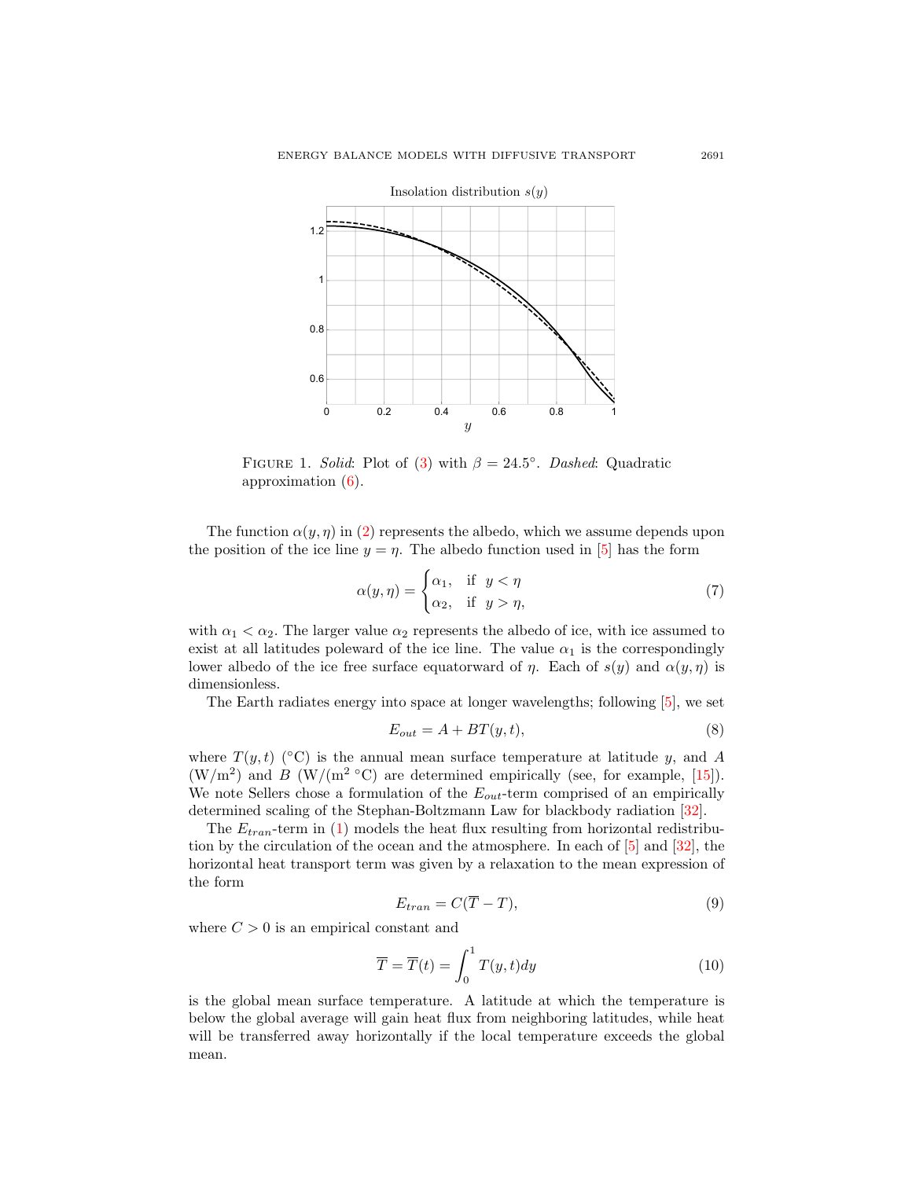

FIGURE 1. Solid: Plot of [\(3\)](#page-3-0) with  $\beta = 24.5^{\circ}$ . Dashed: Quadratic approximation [\(6\)](#page-3-2).

The function  $\alpha(y, \eta)$  in [\(2\)](#page-3-3) represents the albedo, which we assume depends upon the position of the ice line  $y = \eta$ . The albedo function used in [\[5\]](#page-26-7) has the form

<span id="page-4-1"></span>
$$
\alpha(y,\eta) = \begin{cases} \alpha_1, & \text{if } y < \eta \\ \alpha_2, & \text{if } y > \eta, \end{cases}
$$
\n(7)

with  $\alpha_1 < \alpha_2$ . The larger value  $\alpha_2$  represents the albedo of ice, with ice assumed to exist at all latitudes poleward of the ice line. The value  $\alpha_1$  is the correspondingly lower albedo of the ice free surface equatorward of  $\eta$ . Each of  $s(y)$  and  $\alpha(y, \eta)$  is dimensionless.

The Earth radiates energy into space at longer wavelengths; following [\[5\]](#page-26-7), we set

$$
E_{out} = A + BT(y, t),\tag{8}
$$

where  $T(y, t)$  (°C) is the annual mean surface temperature at latitude y, and A  $(W/m<sup>2</sup>)$  and B  $(W/(m<sup>2</sup> °C)$  are determined empirically (see, for example, [\[15\]](#page-27-21)). We note Sellers chose a formulation of the  $E_{out}$ -term comprised of an empirically determined scaling of the Stephan-Boltzmann Law for blackbody radiation [\[32\]](#page-27-10).

The  $E_{tran}$ -term in [\(1\)](#page-3-4) models the heat flux resulting from horizontal redistribution by the circulation of the ocean and the atmosphere. In each of [\[5\]](#page-26-7) and [\[32\]](#page-27-10), the horizontal heat transport term was given by a relaxation to the mean expression of the form

<span id="page-4-0"></span>
$$
E_{tran} = C(\overline{T} - T),\tag{9}
$$

where  $C > 0$  is an empirical constant and

$$
\overline{T} = \overline{T}(t) = \int_0^1 T(y, t) dy
$$
\n(10)

is the global mean surface temperature. A latitude at which the temperature is below the global average will gain heat flux from neighboring latitudes, while heat will be transferred away horizontally if the local temperature exceeds the global mean.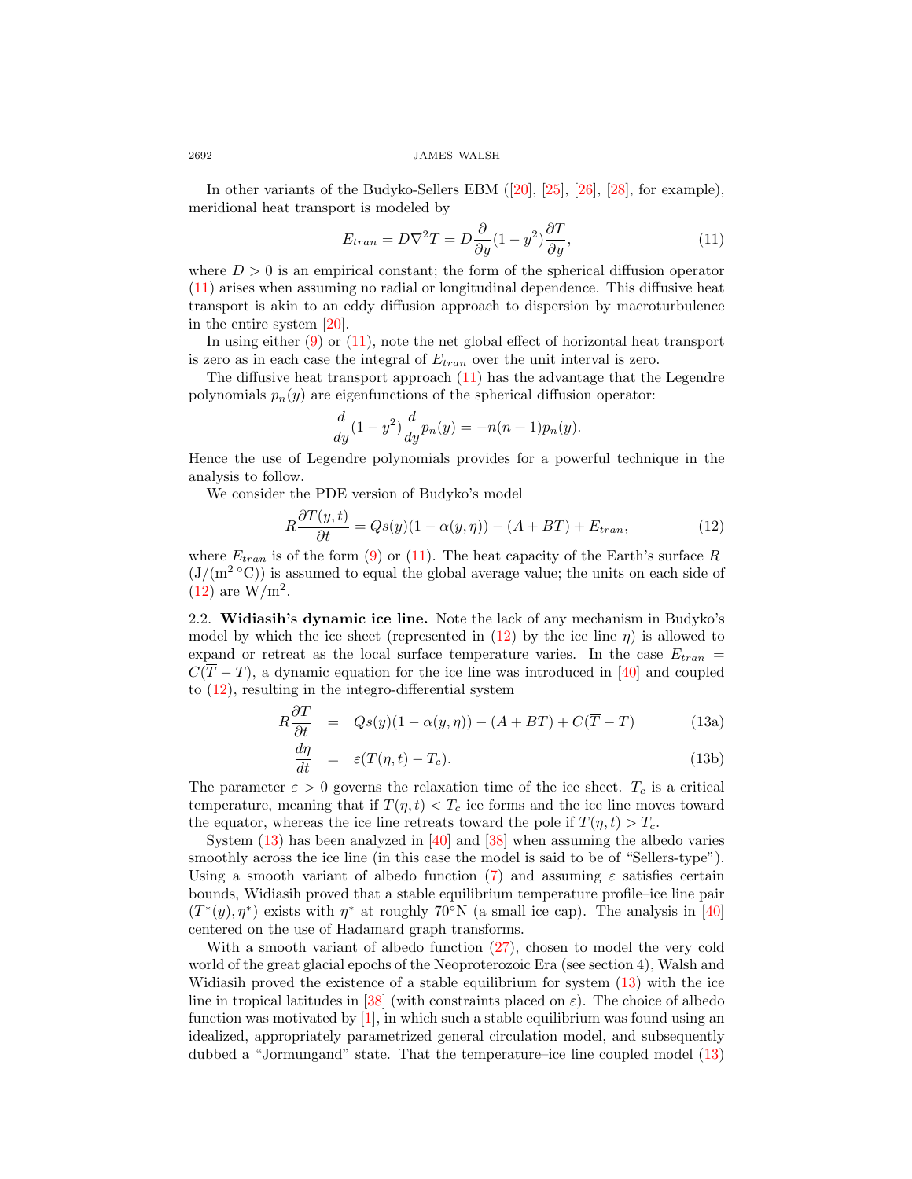In other variants of the Budyko-Sellers EBM ([\[20\]](#page-27-14), [\[25\]](#page-27-15), [\[26\]](#page-27-16), [\[28\]](#page-27-17), for example), meridional heat transport is modeled by

<span id="page-5-1"></span>
$$
E_{tran} = D\nabla^2 T = D\frac{\partial}{\partial y}(1 - y^2)\frac{\partial T}{\partial y},\tag{11}
$$

where  $D > 0$  is an empirical constant; the form of the spherical diffusion operator [\(11\)](#page-5-1) arises when assuming no radial or longitudinal dependence. This diffusive heat transport is akin to an eddy diffusion approach to dispersion by macroturbulence in the entire system [\[20\]](#page-27-14).

In using either  $(9)$  or  $(11)$ , note the net global effect of horizontal heat transport is zero as in each case the integral of  $E_{tran}$  over the unit interval is zero.

The diffusive heat transport approach  $(11)$  has the advantage that the Legendre polynomials  $p_n(y)$  are eigenfunctions of the spherical diffusion operator:

<span id="page-5-0"></span>
$$
\frac{d}{dy}(1-y^2)\frac{d}{dy}p_n(y) = -n(n+1)p_n(y).
$$

Hence the use of Legendre polynomials provides for a powerful technique in the analysis to follow.

We consider the PDE version of Budyko's model

$$
R\frac{\partial T(y,t)}{\partial t} = Qs(y)(1 - \alpha(y,\eta)) - (A + BT) + E_{tran},\tag{12}
$$

where  $E_{tran}$  is of the form [\(9\)](#page-4-0) or [\(11\)](#page-5-1). The heat capacity of the Earth's surface R  $(J/(m^2 °C))$  is assumed to equal the global average value; the units on each side of  $(12)$  are  $W/m<sup>2</sup>$ .

2.2. Widiasih's dynamic ice line. Note the lack of any mechanism in Budyko's model by which the ice sheet (represented in  $(12)$  by the ice line  $\eta$ ) is allowed to expand or retreat as the local surface temperature varies. In the case  $E_{tran}$  =  $C(T - T)$ , a dynamic equation for the ice line was introduced in [\[40\]](#page-28-1) and coupled to [\(12\)](#page-5-0), resulting in the integro-differential system

<span id="page-5-3"></span>
$$
R\frac{\partial T}{\partial t} = Qs(y)(1 - \alpha(y, \eta)) - (A + BT) + C(\overline{T} - T)
$$
 (13a)

<span id="page-5-2"></span>
$$
\frac{d\eta}{dt} = \varepsilon (T(\eta, t) - T_c). \tag{13b}
$$

The parameter  $\varepsilon > 0$  governs the relaxation time of the ice sheet.  $T_c$  is a critical temperature, meaning that if  $T(\eta, t) < T_c$  ice forms and the ice line moves toward the equator, whereas the ice line retreats toward the pole if  $T(\eta, t) > T_c$ .

System  $(13)$  has been analyzed in [\[40\]](#page-28-1) and [\[38\]](#page-28-2) when assuming the albedo varies smoothly across the ice line (in this case the model is said to be of "Sellers-type"). Using a smooth variant of albedo function [\(7\)](#page-4-1) and assuming  $\varepsilon$  satisfies certain bounds, Widiasih proved that a stable equilibrium temperature profile–ice line pair  $(T^*(y), \eta^*)$  exists with  $\eta^*$  at roughly 70<sup>°</sup>N (a small ice cap). The analysis in [\[40\]](#page-28-1) centered on the use of Hadamard graph transforms.

With a smooth variant of albedo function [\(27\)](#page-11-0), chosen to model the very cold world of the great glacial epochs of the Neoproterozoic Era (see section 4), Walsh and Widiasih proved the existence of a stable equilibrium for system [\(13\)](#page-5-2) with the ice line in tropical latitudes in [\[38\]](#page-28-2) (with constraints placed on  $\varepsilon$ ). The choice of albedo function was motivated by  $[1]$ , in which such a stable equilibrium was found using an idealized, appropriately parametrized general circulation model, and subsequently dubbed a "Jormungand" state. That the temperature–ice line coupled model [\(13\)](#page-5-2)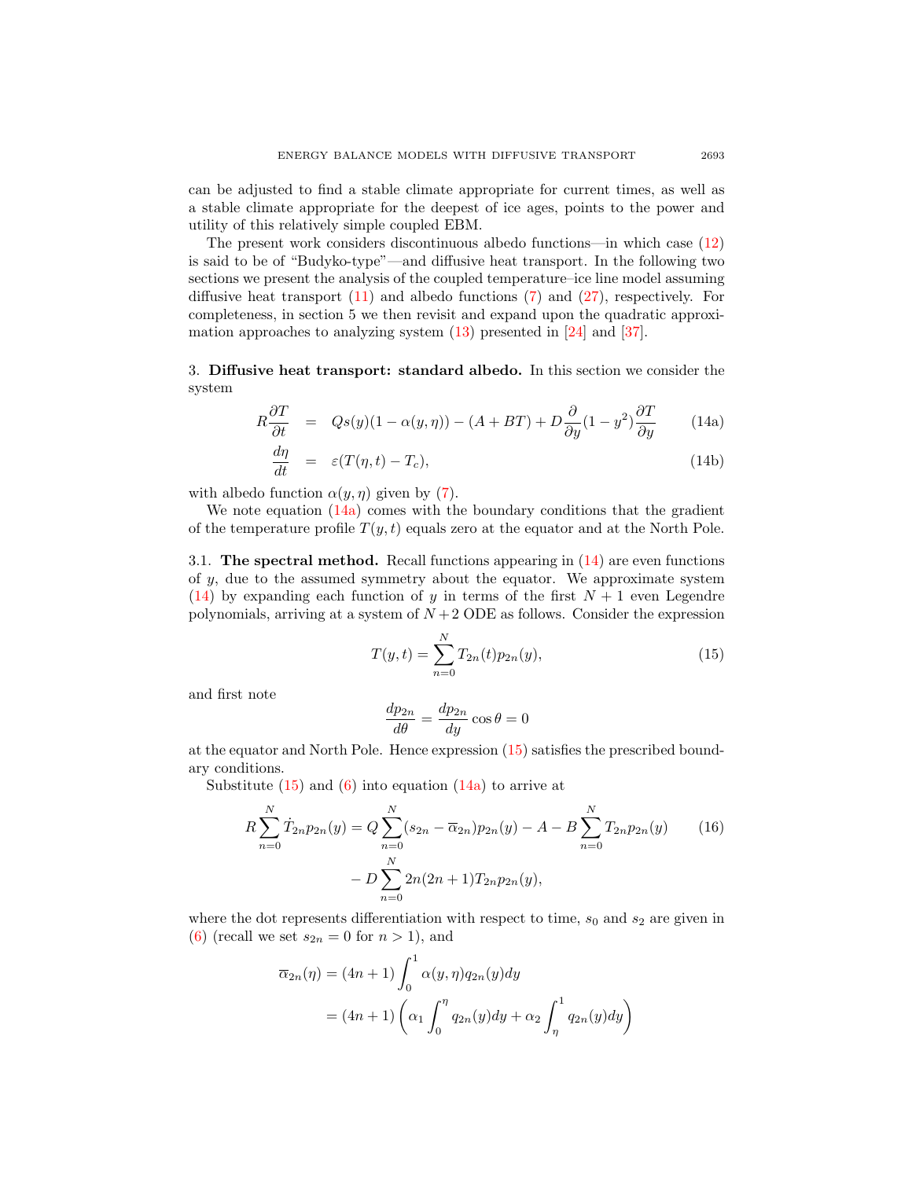can be adjusted to find a stable climate appropriate for current times, as well as a stable climate appropriate for the deepest of ice ages, points to the power and utility of this relatively simple coupled EBM.

The present work considers discontinuous albedo functions—in which case [\(12\)](#page-5-0) is said to be of "Budyko-type"—and diffusive heat transport. In the following two sections we present the analysis of the coupled temperature–ice line model assuming diffusive heat transport  $(11)$  and albedo functions  $(7)$  and  $(27)$ , respectively. For completeness, in section 5 we then revisit and expand upon the quadratic approximation approaches to analyzing system  $(13)$  presented in  $[24]$  and  $[37]$ .

3. Diffusive heat transport: standard albedo. In this section we consider the system

<span id="page-6-1"></span><span id="page-6-0"></span>
$$
R\frac{\partial T}{\partial t} = Qs(y)(1 - \alpha(y, \eta)) - (A + BT) + D\frac{\partial}{\partial y}(1 - y^2)\frac{\partial T}{\partial y}
$$
 (14a)

$$
\frac{d\eta}{dt} = \varepsilon (T(\eta, t) - T_c), \tag{14b}
$$

with albedo function  $\alpha(y, \eta)$  given by [\(7\)](#page-4-1).

We note equation  $(14a)$  comes with the boundary conditions that the gradient of the temperature profile  $T(y, t)$  equals zero at the equator and at the North Pole.

3.1. The spectral method. Recall functions appearing in [\(14\)](#page-6-1) are even functions of  $y$ , due to the assumed symmetry about the equator. We approximate system [\(14\)](#page-6-1) by expanding each function of y in terms of the first  $N + 1$  even Legendre polynomials, arriving at a system of  $N+2$  ODE as follows. Consider the expression

<span id="page-6-2"></span>
$$
T(y,t) = \sum_{n=0}^{N} T_{2n}(t) p_{2n}(y),
$$
\n(15)

and first note

<span id="page-6-3"></span>
$$
\frac{dp_{2n}}{d\theta} = \frac{dp_{2n}}{dy}\cos\theta = 0
$$

at the equator and North Pole. Hence expression [\(15\)](#page-6-2) satisfies the prescribed boundary conditions.

Substitute  $(15)$  and  $(6)$  into equation  $(14a)$  to arrive at

$$
R\sum_{n=0}^{N} \dot{T}_{2n} p_{2n}(y) = Q \sum_{n=0}^{N} (s_{2n} - \overline{\alpha}_{2n}) p_{2n}(y) - A - B \sum_{n=0}^{N} T_{2n} p_{2n}(y)
$$
(16)  

$$
- D \sum_{n=0}^{N} 2n(2n+1) T_{2n} p_{2n}(y),
$$

where the dot represents differentiation with respect to time,  $s_0$  and  $s_2$  are given in [\(6\)](#page-3-2) (recall we set  $s_{2n} = 0$  for  $n > 1$ ), and

$$
\overline{\alpha}_{2n}(\eta) = (4n+1) \int_0^1 \alpha(y,\eta) q_{2n}(y) dy
$$

$$
= (4n+1) \left( \alpha_1 \int_0^{\eta} q_{2n}(y) dy + \alpha_2 \int_{\eta}^1 q_{2n}(y) dy \right)
$$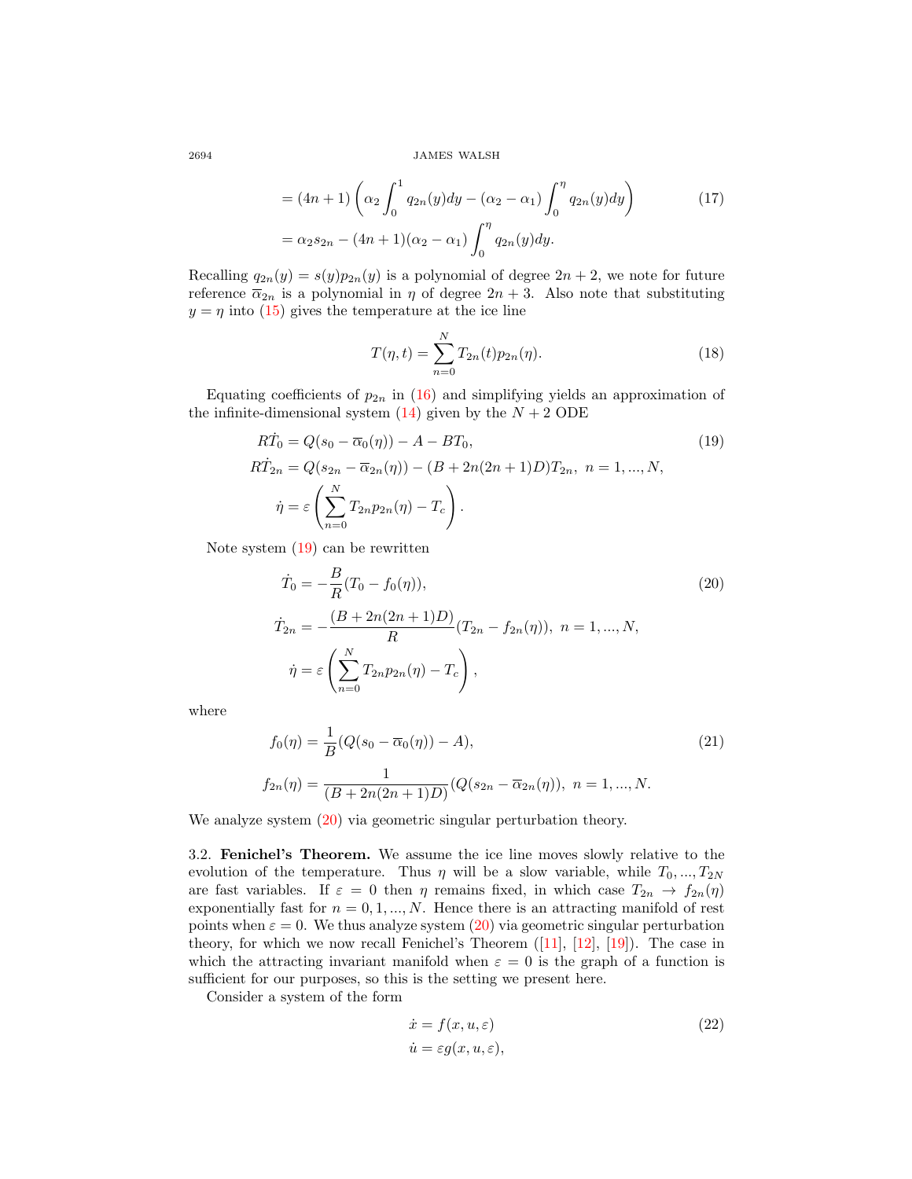$$
= (4n+1)\left(\alpha_2 \int_0^1 q_{2n}(y)dy - (\alpha_2 - \alpha_1) \int_0^{\eta} q_{2n}(y)dy\right)
$$
  
=  $\alpha_2 s_{2n} - (4n+1)(\alpha_2 - \alpha_1) \int_0^{\eta} q_{2n}(y)dy.$  (17)

Recalling  $q_{2n}(y) = s(y)p_{2n}(y)$  is a polynomial of degree  $2n + 2$ , we note for future reference  $\overline{\alpha}_{2n}$  is a polynomial in  $\eta$  of degree  $2n + 3$ . Also note that substituting  $y = \eta$  into [\(15\)](#page-6-2) gives the temperature at the ice line

<span id="page-7-4"></span><span id="page-7-1"></span><span id="page-7-0"></span>
$$
T(\eta, t) = \sum_{n=0}^{N} T_{2n}(t) p_{2n}(\eta).
$$
 (18)

Equating coefficients of  $p_{2n}$  in [\(16\)](#page-6-3) and simplifying yields an approximation of the infinite-dimensional system  $(14)$  given by the  $N + 2$  ODE

$$
RT_0 = Q(s_0 - \overline{\alpha}_0(\eta)) - A - BT_0,
$$
  
\n
$$
RT_{2n} = Q(s_{2n} - \overline{\alpha}_{2n}(\eta)) - (B + 2n(2n + 1)D)T_{2n}, \ n = 1, ..., N,
$$
  
\n
$$
\dot{\eta} = \varepsilon \left( \sum_{n=0}^{N} T_{2n} p_{2n}(\eta) - T_c \right).
$$
\n(19)

Note system [\(19\)](#page-7-0) can be rewritten

$$
\dot{T}_0 = -\frac{B}{R}(T_0 - f_0(\eta)),
$$
\n
$$
\dot{T}_{2n} = -\frac{(B + 2n(2n + 1)D)}{R}(T_{2n} - f_{2n}(\eta)), \ n = 1, ..., N,
$$
\n
$$
\dot{\eta} = \varepsilon \left(\sum_{n=0}^{N} T_{2n} p_{2n}(\eta) - T_c\right),
$$
\n(20)

where

$$
f_0(\eta) = \frac{1}{B}(Q(s_0 - \overline{\alpha}_0(\eta)) - A),
$$
  
\n
$$
f_{2n}(\eta) = \frac{1}{(B + 2n(2n + 1)D)}(Q(s_{2n} - \overline{\alpha}_{2n}(\eta)), n = 1, ..., N.
$$
\n(21)

We analyze system  $(20)$  via geometric singular perturbation theory.

3.2. Fenichel's Theorem. We assume the ice line moves slowly relative to the evolution of the temperature. Thus  $\eta$  will be a slow variable, while  $T_0, ..., T_{2N}$ are fast variables. If  $\varepsilon = 0$  then  $\eta$  remains fixed, in which case  $T_{2n} \to f_{2n}(\eta)$ exponentially fast for  $n = 0, 1, ..., N$ . Hence there is an attracting manifold of rest points when  $\varepsilon = 0$ . We thus analyze system [\(20\)](#page-7-1) via geometric singular perturbation theory, for which we now recall Fenichel's Theorem ([\[11\]](#page-27-22), [\[12\]](#page-27-23), [\[19\]](#page-27-24)). The case in which the attracting invariant manifold when  $\varepsilon = 0$  is the graph of a function is sufficient for our purposes, so this is the setting we present here.

Consider a system of the form

<span id="page-7-3"></span><span id="page-7-2"></span>
$$
\begin{aligned}\n\dot{x} &= f(x, u, \varepsilon) \\
\dot{u} &= \varepsilon g(x, u, \varepsilon),\n\end{aligned} \tag{22}
$$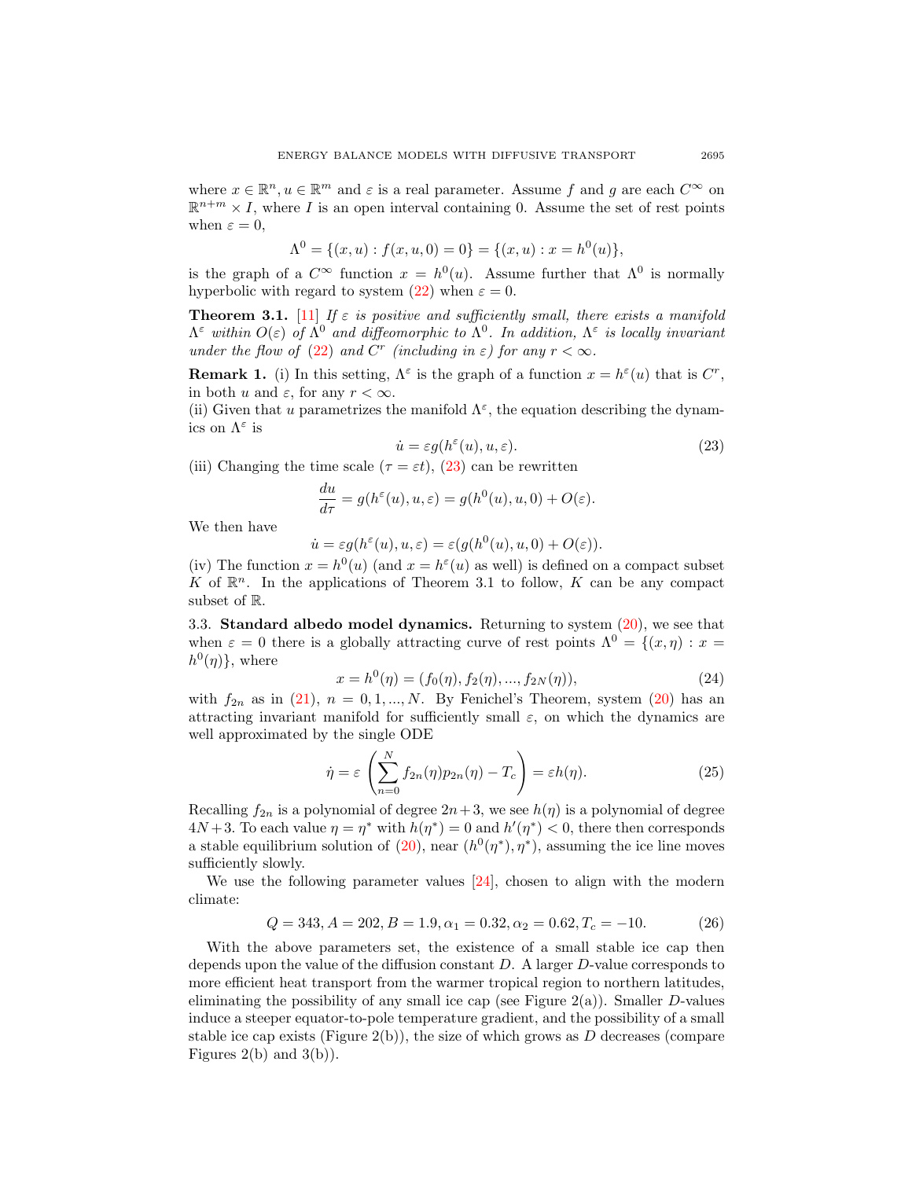where  $x \in \mathbb{R}^n, u \in \mathbb{R}^m$  and  $\varepsilon$  is a real parameter. Assume f and g are each  $C^{\infty}$  on  $\mathbb{R}^{n+m} \times I$ , where I is an open interval containing 0. Assume the set of rest points when  $\varepsilon = 0$ ,

<span id="page-8-0"></span>
$$
\Lambda^0 = \{ (x, u) : f(x, u, 0) = 0 \} = \{ (x, u) : x = h^0(u) \},
$$

is the graph of a  $C^{\infty}$  function  $x = h^0(u)$ . Assume further that  $\Lambda^0$  is normally hyperbolic with regard to system [\(22\)](#page-7-2) when  $\varepsilon = 0$ .

**Theorem 3.1.** [\[11\]](#page-27-22) If  $\varepsilon$  is positive and sufficiently small, there exists a manifold  $\Lambda^{\varepsilon}$  within  $O(\varepsilon)$  of  $\Lambda^{0}$  and diffeomorphic to  $\Lambda^{0}$ . In addition,  $\Lambda^{\varepsilon}$  is locally invariant under the flow of [\(22\)](#page-7-2) and C<sup>r</sup> (including in  $\varepsilon$ ) for any  $r < \infty$ .

**Remark 1.** (i) In this setting,  $\Lambda^{\varepsilon}$  is the graph of a function  $x = h^{\varepsilon}(u)$  that is  $C^{r}$ , in both u and  $\varepsilon$ , for any  $r < \infty$ .

(ii) Given that u parametrizes the manifold  $\Lambda^{\varepsilon}$ , the equation describing the dynamics on  $\Lambda^{\varepsilon}$  is

$$
\dot{u} = \varepsilon g(h^{\varepsilon}(u), u, \varepsilon). \tag{23}
$$

(iii) Changing the time scale ( $\tau = \varepsilon t$ ), [\(23\)](#page-8-0) can be rewritten

<span id="page-8-3"></span>
$$
\frac{du}{d\tau} = g(h^{\varepsilon}(u), u, \varepsilon) = g(h^{0}(u), u, 0) + O(\varepsilon).
$$

We then have

$$
\dot{u} = \varepsilon g(h^{\varepsilon}(u), u, \varepsilon) = \varepsilon (g(h^{0}(u), u, 0) + O(\varepsilon)).
$$

(iv) The function  $x = h^0(u)$  (and  $x = h^{\epsilon}(u)$  as well) is defined on a compact subset K of  $\mathbb{R}^n$ . In the applications of Theorem 3.1 to follow, K can be any compact subset of R.

3.3. **Standard albedo model dynamics.** Returning to system  $(20)$ , we see that when  $\varepsilon = 0$  there is a globally attracting curve of rest points  $\Lambda^0 = \{(x, \eta) : x =$  $h^0(\eta)$ , where

$$
x = h^{0}(\eta) = (f_{0}(\eta), f_{2}(\eta), ..., f_{2N}(\eta)),
$$
\n(24)

with  $f_{2n}$  as in [\(21\)](#page-7-3),  $n = 0, 1, ..., N$ . By Fenichel's Theorem, system [\(20\)](#page-7-1) has an attracting invariant manifold for sufficiently small  $\varepsilon$ , on which the dynamics are well approximated by the single ODE

<span id="page-8-1"></span>
$$
\dot{\eta} = \varepsilon \left( \sum_{n=0}^{N} f_{2n}(\eta) p_{2n}(\eta) - T_c \right) = \varepsilon h(\eta). \tag{25}
$$

Recalling  $f_{2n}$  is a polynomial of degree  $2n+3$ , we see  $h(\eta)$  is a polynomial of degree  $4N+3$ . To each value  $\eta = \eta^*$  with  $h(\eta^*) = 0$  and  $h'(\eta^*) < 0$ , there then corresponds a stable equilibrium solution of [\(20\)](#page-7-1), near  $(h^0(\eta^*), \eta^*)$ , assuming the ice line moves sufficiently slowly.

We use the following parameter values [\[24\]](#page-27-12), chosen to align with the modern climate:

<span id="page-8-2"></span>
$$
Q = 343, A = 202, B = 1.9, \alpha_1 = 0.32, \alpha_2 = 0.62, T_c = -10.
$$
 (26)

With the above parameters set, the existence of a small stable ice cap then depends upon the value of the diffusion constant D. A larger D-value corresponds to more efficient heat transport from the warmer tropical region to northern latitudes, eliminating the possibility of any small ice cap (see Figure  $2(a)$ ). Smaller D-values induce a steeper equator-to-pole temperature gradient, and the possibility of a small stable ice cap exists (Figure 2(b)), the size of which grows as  $D$  decreases (compare Figures  $2(b)$  and  $3(b)$ ).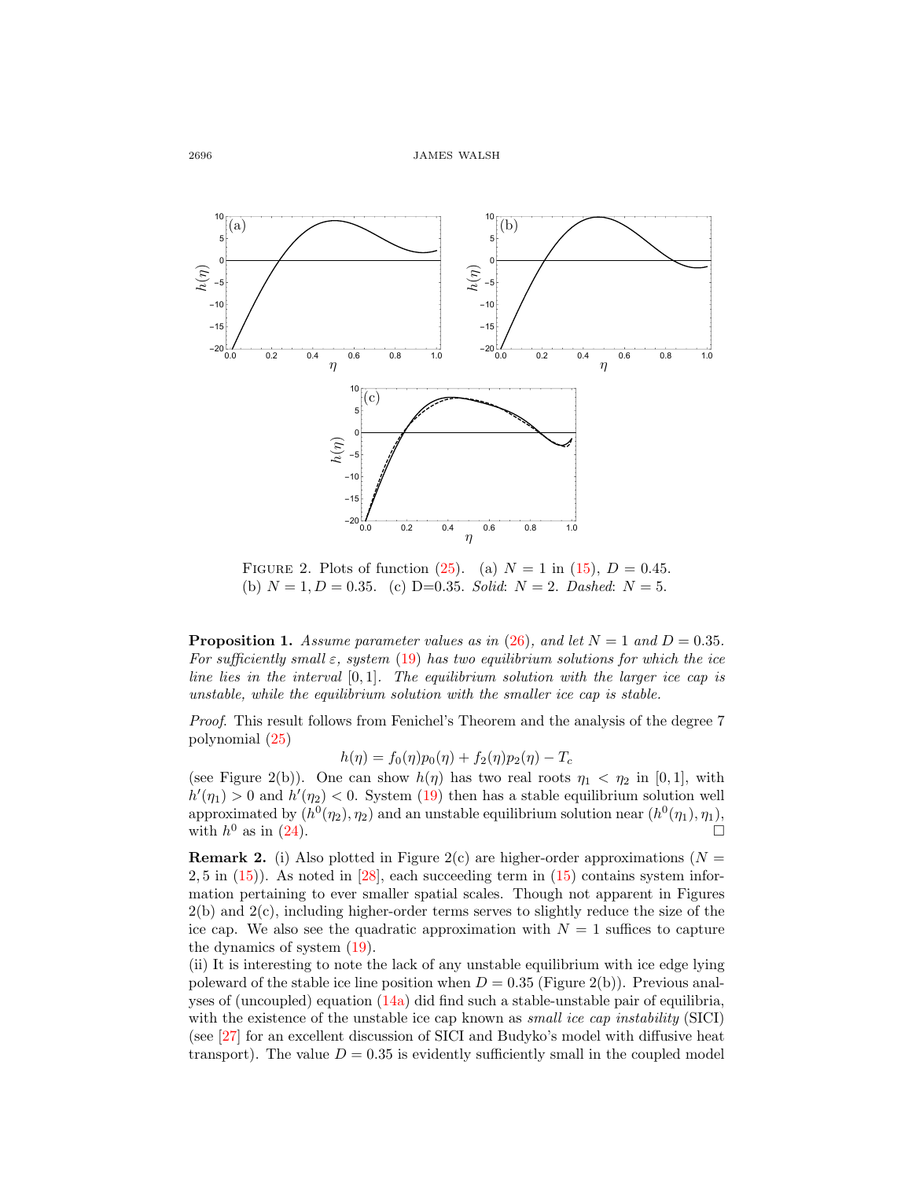

FIGURE 2. Plots of function [\(25\)](#page-8-1). (a)  $N = 1$  in [\(15\)](#page-6-2),  $D = 0.45$ . (b)  $N = 1, D = 0.35$ . (c) D=0.35. Solid:  $N = 2$ . Dashed:  $N = 5$ .

**Proposition 1.** Assume parameter values as in [\(26\)](#page-8-2), and let  $N = 1$  and  $D = 0.35$ . For sufficiently small  $\varepsilon$ , system [\(19\)](#page-7-0) has two equilibrium solutions for which the ice line lies in the interval  $[0, 1]$ . The equilibrium solution with the larger ice cap is unstable, while the equilibrium solution with the smaller ice cap is stable.

Proof. This result follows from Fenichel's Theorem and the analysis of the degree 7 polynomial [\(25\)](#page-8-1)

$$
h(\eta) = f_0(\eta) p_0(\eta) + f_2(\eta) p_2(\eta) - T_c
$$

(see Figure 2(b)). One can show  $h(\eta)$  has two real roots  $\eta_1 < \eta_2$  in [0,1], with  $h'(\eta_1) > 0$  and  $h'(\eta_2) < 0$ . System [\(19\)](#page-7-0) then has a stable equilibrium solution well approximated by  $(h^0(\eta_2), \eta_2)$  and an unstable equilibrium solution near  $(h^0(\eta_1), \eta_1)$ , with  $h^0$  as in [\(24\)](#page-8-3).

**Remark 2.** (i) Also plotted in Figure 2(c) are higher-order approximations ( $N =$  $2, 5$  in  $(15)$ ). As noted in  $[28]$ , each succeeding term in  $(15)$  contains system information pertaining to ever smaller spatial scales. Though not apparent in Figures  $2(b)$  and  $2(c)$ , including higher-order terms serves to slightly reduce the size of the ice cap. We also see the quadratic approximation with  $N = 1$  suffices to capture the dynamics of system [\(19\)](#page-7-0).

(ii) It is interesting to note the lack of any unstable equilibrium with ice edge lying poleward of the stable ice line position when  $D = 0.35$  (Figure 2(b)). Previous analyses of (uncoupled) equation [\(14a\)](#page-6-0) did find such a stable-unstable pair of equilibria, with the existence of the unstable ice cap known as *small ice cap instability* (SICI) (see [\[27\]](#page-27-25) for an excellent discussion of SICI and Budyko's model with diffusive heat transport). The value  $D = 0.35$  is evidently sufficiently small in the coupled model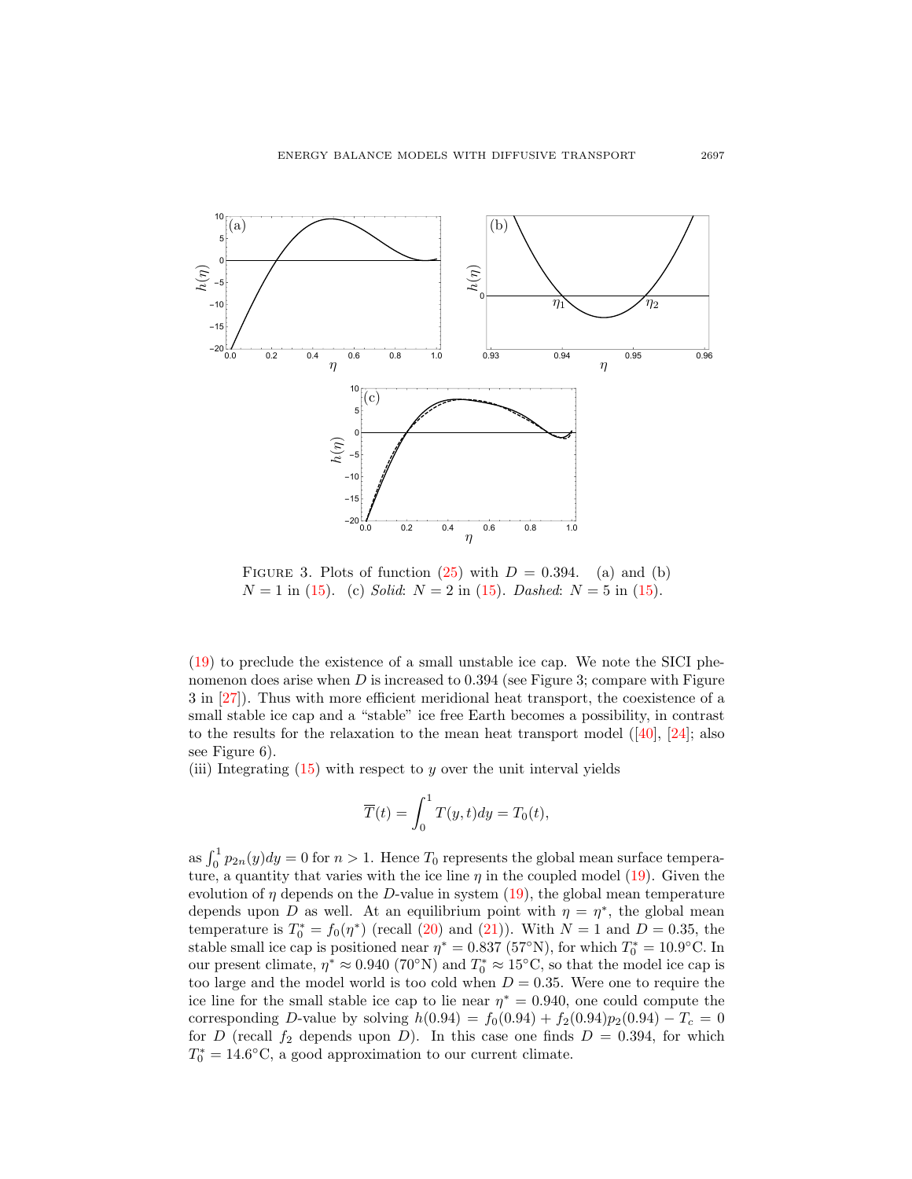

FIGURE 3. Plots of function  $(25)$  with  $D = 0.394$ . (a) and (b)  $N = 1$  in [\(15\)](#page-6-2). (c) Solid:  $N = 2$  in (15). Dashed:  $N = 5$  in (15).

[\(19\)](#page-7-0) to preclude the existence of a small unstable ice cap. We note the SICI phenomenon does arise when  $D$  is increased to 0.394 (see Figure 3; compare with Figure 3 in [\[27\]](#page-27-25)). Thus with more efficient meridional heat transport, the coexistence of a small stable ice cap and a "stable" ice free Earth becomes a possibility, in contrast to the results for the relaxation to the mean heat transport model  $([40], [24]$  $([40], [24]$  $([40], [24]$  $([40], [24]$ ; also see Figure 6).

(iii) Integrating  $(15)$  with respect to y over the unit interval yields

$$
\overline{T}(t) = \int_0^1 T(y, t) dy = T_0(t),
$$

as  $\int_0^1 p_{2n}(y)dy = 0$  for  $n > 1$ . Hence  $T_0$  represents the global mean surface temperature, a quantity that varies with the ice line  $\eta$  in the coupled model [\(19\)](#page-7-0). Given the evolution of  $\eta$  depends on the D-value in system [\(19\)](#page-7-0), the global mean temperature depends upon D as well. At an equilibrium point with  $\eta = \eta^*$ , the global mean temperature is  $T_0^* = f_0(\eta^*)$  (recall [\(20\)](#page-7-1) and [\(21\)](#page-7-3)). With  $N = 1$  and  $D = 0.35$ , the stable small ice cap is positioned near  $\eta^* = 0.837$  (57°N), for which  $T_0^* = 10.9$ °C. In our present climate,  $\eta^* \approx 0.940$  (70°N) and  $T_0^* \approx 15$ °C, so that the model ice cap is too large and the model world is too cold when  $D = 0.35$ . Were one to require the ice line for the small stable ice cap to lie near  $\eta^* = 0.940$ , one could compute the corresponding D-value by solving  $h(0.94) = f_0(0.94) + f_2(0.94)p_2(0.94) - T_c = 0$ for D (recall  $f_2$  depends upon D). In this case one finds  $D = 0.394$ , for which  $T_0^* = 14.6$ °C, a good approximation to our current climate.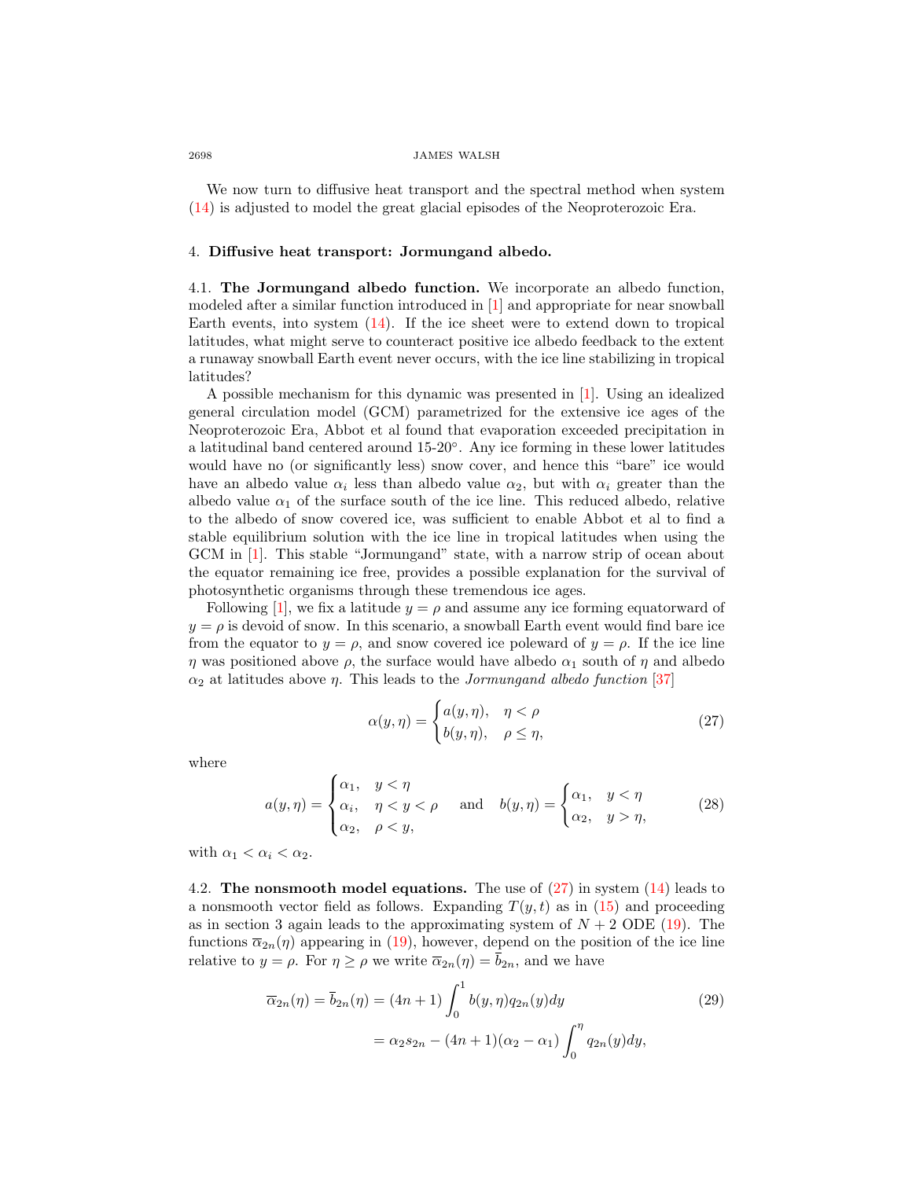We now turn to diffusive heat transport and the spectral method when system [\(14\)](#page-6-1) is adjusted to model the great glacial episodes of the Neoproterozoic Era.

# 4. Diffusive heat transport: Jormungand albedo.

4.1. The Jormungand albedo function. We incorporate an albedo function, modeled after a similar function introduced in [\[1\]](#page-26-8) and appropriate for near snowball Earth events, into system [\(14\)](#page-6-1). If the ice sheet were to extend down to tropical latitudes, what might serve to counteract positive ice albedo feedback to the extent a runaway snowball Earth event never occurs, with the ice line stabilizing in tropical latitudes?

A possible mechanism for this dynamic was presented in [\[1\]](#page-26-8). Using an idealized general circulation model (GCM) parametrized for the extensive ice ages of the Neoproterozoic Era, Abbot et al found that evaporation exceeded precipitation in a latitudinal band centered around 15-20◦ . Any ice forming in these lower latitudes would have no (or significantly less) snow cover, and hence this "bare" ice would have an albedo value  $\alpha_i$  less than albedo value  $\alpha_2$ , but with  $\alpha_i$  greater than the albedo value  $\alpha_1$  of the surface south of the ice line. This reduced albedo, relative to the albedo of snow covered ice, was sufficient to enable Abbot et al to find a stable equilibrium solution with the ice line in tropical latitudes when using the GCM in [\[1\]](#page-26-8). This stable "Jormungand" state, with a narrow strip of ocean about the equator remaining ice free, provides a possible explanation for the survival of photosynthetic organisms through these tremendous ice ages.

Following [\[1\]](#page-26-8), we fix a latitude  $y = \rho$  and assume any ice forming equatorward of  $y = \rho$  is devoid of snow. In this scenario, a snowball Earth event would find bare ice from the equator to  $y = \rho$ , and snow covered ice poleward of  $y = \rho$ . If the ice line  $\eta$  was positioned above  $\rho$ , the surface would have albedo  $\alpha_1$  south of  $\eta$  and albedo  $\alpha_2$  at latitudes above *η*. This leads to the *Jormungand albedo function* [\[37\]](#page-28-3)

<span id="page-11-0"></span>
$$
\alpha(y,\eta) = \begin{cases} a(y,\eta), & \eta < \rho \\ b(y,\eta), & \rho \le \eta, \end{cases}
$$
\n(27)

where

$$
a(y,\eta) = \begin{cases} \alpha_1, & y < \eta \\ \alpha_i, & \eta < y < \rho \\ \alpha_2, & \rho < y, \end{cases} \quad \text{and} \quad b(y,\eta) = \begin{cases} \alpha_1, & y < \eta \\ \alpha_2, & y > \eta, \end{cases} \tag{28}
$$

with  $\alpha_1 < \alpha_i < \alpha_2$ .

4.2. The nonsmooth model equations. The use of  $(27)$  in system  $(14)$  leads to a nonsmooth vector field as follows. Expanding  $T(y,t)$  as in [\(15\)](#page-6-2) and proceeding as in section 3 again leads to the approximating system of  $N + 2$  ODE [\(19\)](#page-7-0). The functions  $\bar{\alpha}_{2n}(\eta)$  appearing in [\(19\)](#page-7-0), however, depend on the position of the ice line relative to  $y = \rho$ . For  $\eta \ge \rho$  we write  $\overline{\alpha}_{2n}(\eta) = b_{2n}$ , and we have

<span id="page-11-1"></span>
$$
\overline{\alpha}_{2n}(\eta) = \overline{b}_{2n}(\eta) = (4n+1) \int_0^1 b(y, \eta) q_{2n}(y) dy
$$
\n
$$
= \alpha_2 s_{2n} - (4n+1)(\alpha_2 - \alpha_1) \int_0^{\eta} q_{2n}(y) dy,
$$
\n(29)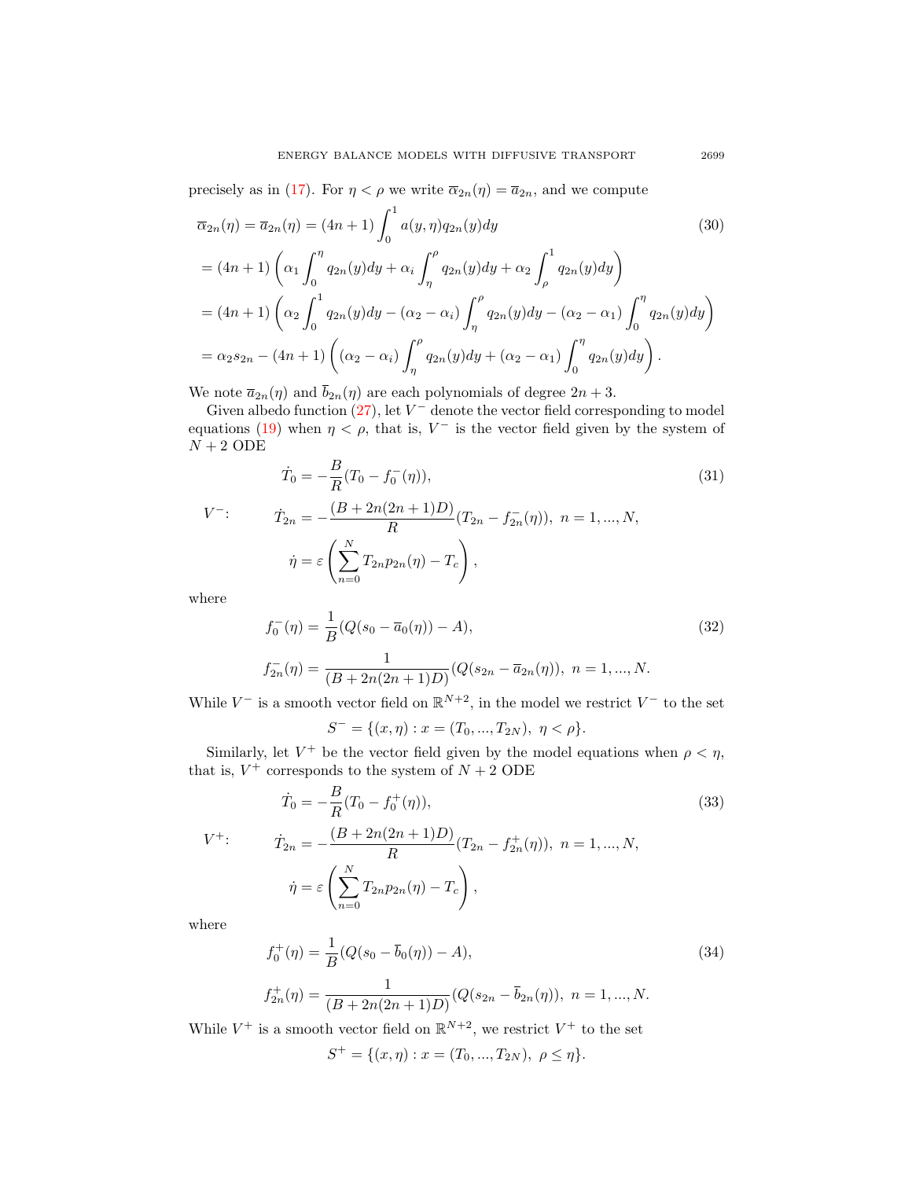precisely as in [\(17\)](#page-7-4). For  $\eta < \rho$  we write  $\overline{\alpha}_{2n}(\eta) = \overline{a}_{2n}$ , and we compute

<span id="page-12-0"></span>
$$
\overline{\alpha}_{2n}(\eta) = \overline{\alpha}_{2n}(\eta) = (4n+1) \int_0^1 a(y, \eta) q_{2n}(y) dy
$$
\n
$$
= (4n+1) \left( \alpha_1 \int_0^{\eta} q_{2n}(y) dy + \alpha_i \int_{\eta}^{\rho} q_{2n}(y) dy + \alpha_2 \int_{\rho}^1 q_{2n}(y) dy \right)
$$
\n
$$
= (4n+1) \left( \alpha_2 \int_0^1 q_{2n}(y) dy - (\alpha_2 - \alpha_i) \int_{\eta}^{\rho} q_{2n}(y) dy - (\alpha_2 - \alpha_1) \int_0^{\eta} q_{2n}(y) dy \right)
$$
\n
$$
= \alpha_2 s_{2n} - (4n+1) \left( (\alpha_2 - \alpha_i) \int_{\eta}^{\rho} q_{2n}(y) dy + (\alpha_2 - \alpha_1) \int_0^{\eta} q_{2n}(y) dy \right).
$$
\n(30)

We note  $\bar{a}_{2n}(\eta)$  and  $\bar{b}_{2n}(\eta)$  are each polynomials of degree  $2n + 3$ .

Given albedo function  $(27)$ , let  $V^-$  denote the vector field corresponding to model equations [\(19\)](#page-7-0) when  $\eta < \rho$ , that is,  $V^-$  is the vector field given by the system of  ${\cal N}+2$  ODE

$$
\dot{T}_0 = -\frac{B}{R}(T_0 - f_0^-(\eta)),
$$
\n
$$
\dot{T}_{2n} = -\frac{(B + 2n(2n+1)D)}{R}(T_{2n} - f_{2n}^-(\eta)), \quad n = 1, ..., N,
$$
\n
$$
\dot{\eta} = \varepsilon \left(\sum_{n=0}^N T_{2n} p_{2n}(\eta) - T_c\right),
$$
\n(31)

where

$$
f_0^-(\eta) = \frac{1}{B}(Q(s_0 - \overline{a}_0(\eta)) - A),
$$
  
\n
$$
f_{2n}^-(\eta) = \frac{1}{(B + 2n(2n+1)D)}(Q(s_{2n} - \overline{a}_{2n}(\eta)), \ n = 1, ..., N.
$$
\n(32)

While  $V^-$  is a smooth vector field on  $\mathbb{R}^{N+2}$ , in the model we restrict  $V^-$  to the set

<span id="page-12-2"></span><span id="page-12-1"></span>
$$
S^- = \{(x, \eta) : x = (T_0, ..., T_{2N}), \ \eta < \rho\}.
$$

Similarly, let  $V^+$  be the vector field given by the model equations when  $\rho < \eta$ , that is,  $V^+$  corresponds to the system of  $N+2$  ODE

$$
\dot{T}_0 = -\frac{B}{R}(T_0 - f_0^+(\eta)),
$$
\n
$$
\dot{T}_{2n} = -\frac{(B + 2n(2n+1)D)}{R}(T_{2n} - f_{2n}^+(\eta)), \ n = 1, ..., N,
$$
\n
$$
\dot{\eta} = \varepsilon \left(\sum_{n=0}^N T_{2n} p_{2n}(\eta) - T_c\right),
$$
\n(33)

where

$$
f_0^+(\eta) = \frac{1}{B}(Q(s_0 - \bar{b}_0(\eta)) - A),
$$
  
\n
$$
f_{2n}^+(\eta) = \frac{1}{(B + 2n(2n+1)D)}(Q(s_{2n} - \bar{b}_{2n}(\eta)), \ n = 1, ..., N.
$$
\n(34)

While  $V^+$  is a smooth vector field on  $\mathbb{R}^{N+2}$ , we restrict  $V^+$  to the set

$$
S^{+} = \{(x, \eta) : x = (T_0, ..., T_{2N}), \ \rho \le \eta\}.
$$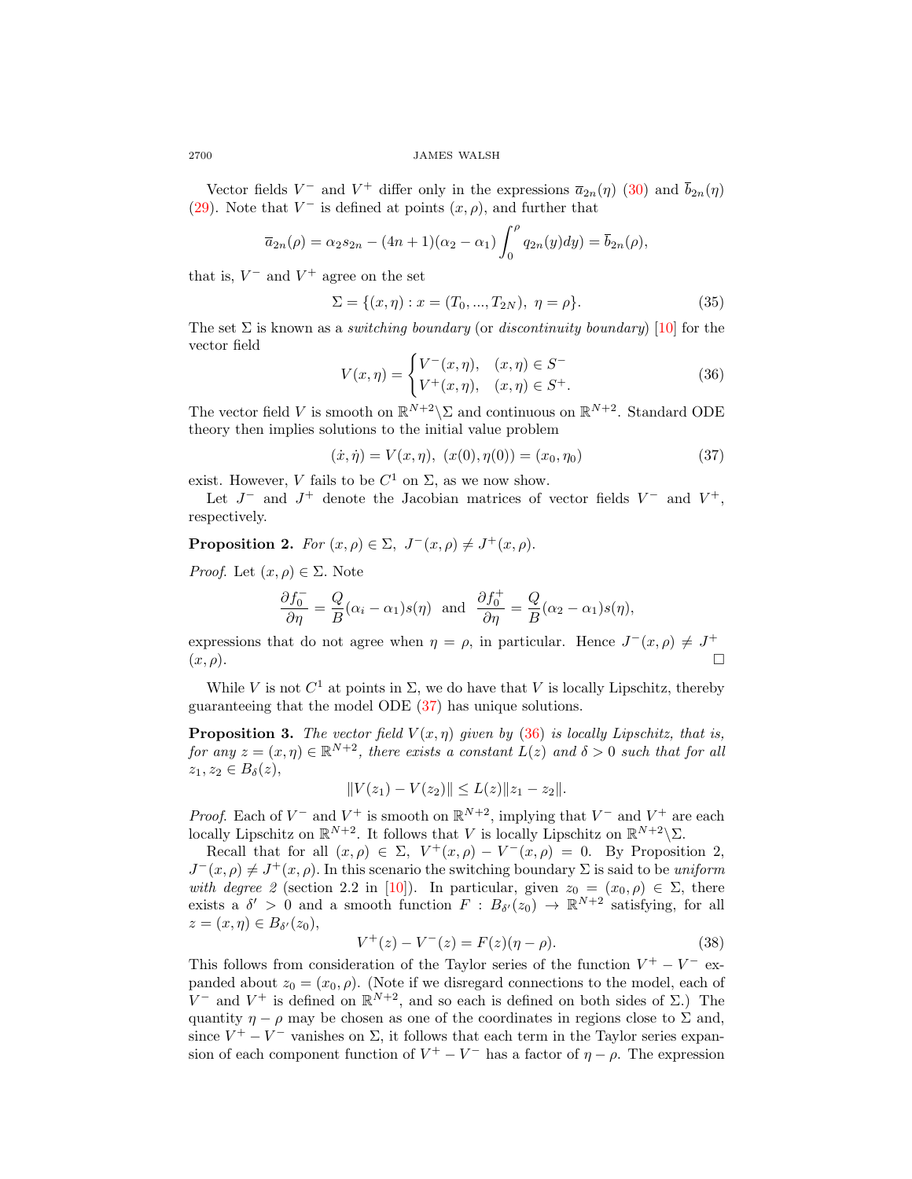Vector fields  $V^-$  and  $V^+$  differ only in the expressions  $\bar{a}_{2n}(\eta)$  [\(30\)](#page-12-0) and  $\bar{b}_{2n}(\eta)$ [\(29\)](#page-11-1). Note that  $V^-$  is defined at points  $(x, \rho)$ , and further that

$$
\overline{a}_{2n}(\rho) = \alpha_2 s_{2n} - (4n+1)(\alpha_2 - \alpha_1) \int_0^{\rho} q_{2n}(y) dy = \overline{b}_{2n}(\rho),
$$

that is,  $V^-$  and  $V^+$  agree on the set

$$
\Sigma = \{(x, \eta) : x = (T_0, ..., T_{2N}), \ \eta = \rho\}.
$$
 (35)

The set  $\Sigma$  is known as a *switching boundary* (or *discontinuity boundary*) [\[10\]](#page-27-19) for the vector field

<span id="page-13-1"></span>
$$
V(x,\eta) = \begin{cases} V^-(x,\eta), & (x,\eta) \in S^- \\ V^+(x,\eta), & (x,\eta) \in S^+ . \end{cases}
$$
 (36)

The vector field V is smooth on  $\mathbb{R}^{N+2}\backslash\Sigma$  and continuous on  $\mathbb{R}^{N+2}$ . Standard ODE theory then implies solutions to the initial value problem

<span id="page-13-0"></span>
$$
(\dot{x}, \dot{\eta}) = V(x, \eta), \ (x(0), \eta(0)) = (x_0, \eta_0) \tag{37}
$$

exist. However, V fails to be  $C^1$  on  $\Sigma$ , as we now show.

Let  $J^-$  and  $J^+$  denote the Jacobian matrices of vector fields  $V^-$  and  $V^+$ , respectively.

**Proposition 2.** For  $(x, \rho) \in \Sigma$ ,  $J^-(x, \rho) \neq J^+(x, \rho)$ .

*Proof.* Let  $(x, \rho) \in \Sigma$ . Note

<span id="page-13-2"></span>
$$
\frac{\partial f_0^-}{\partial \eta} = \frac{Q}{B}(\alpha_i - \alpha_1)s(\eta) \text{ and } \frac{\partial f_0^+}{\partial \eta} = \frac{Q}{B}(\alpha_2 - \alpha_1)s(\eta),
$$

expressions that do not agree when  $\eta = \rho$ , in particular. Hence  $J^-(x, \rho) \neq J^+$  $(x, \rho).$ 

While V is not  $C^1$  at points in  $\Sigma$ , we do have that V is locally Lipschitz, thereby guaranteeing that the model ODE [\(37\)](#page-13-0) has unique solutions.

**Proposition 3.** The vector field  $V(x, \eta)$  given by [\(36\)](#page-13-1) is locally Lipschitz, that is, for any  $z = (x, \eta) \in \mathbb{R}^{N+2}$ , there exists a constant  $L(z)$  and  $\delta > 0$  such that for all  $z_1, z_2 \in B_\delta(z)$ ,

$$
||V(z_1) - V(z_2)|| \le L(z)||z_1 - z_2||.
$$

*Proof.* Each of  $V^-$  and  $V^+$  is smooth on  $\mathbb{R}^{N+2}$ , implying that  $V^-$  and  $V^+$  are each locally Lipschitz on  $\mathbb{R}^{N+2}$ . It follows that V is locally Lipschitz on  $\mathbb{R}^{N+2} \backslash \Sigma$ .

Recall that for all  $(x, \rho) \in \Sigma$ ,  $V^+(x, \rho) - V^-(x, \rho) = 0$ . By Proposition 2,  $J^-(x, \rho) \neq J^+(x, \rho)$ . In this scenario the switching boundary  $\Sigma$  is said to be uniform with degree 2 (section 2.2 in [\[10\]](#page-27-19)). In particular, given  $z_0 = (x_0, \rho) \in \Sigma$ , there exists a  $\delta' > 0$  and a smooth function  $F : B_{\delta'}(z_0) \to \mathbb{R}^{N+2}$  satisfying, for all  $z = (x, \eta) \in B_{\delta'}(z_0),$ 

$$
V^{+}(z) - V^{-}(z) = F(z)(\eta - \rho).
$$
 (38)

This follows from consideration of the Taylor series of the function  $V^+ - V^-$  expanded about  $z_0 = (x_0, \rho)$ . (Note if we disregard connections to the model, each of V<sup>-</sup> and V<sup>+</sup> is defined on  $\mathbb{R}^{N+2}$ , and so each is defined on both sides of  $\Sigma$ .) The quantity  $\eta - \rho$  may be chosen as one of the coordinates in regions close to  $\Sigma$  and, since  $V^+ - V^-$  vanishes on  $\Sigma$ , it follows that each term in the Taylor series expansion of each component function of  $V^+ - V^-$  has a factor of  $\eta - \rho$ . The expression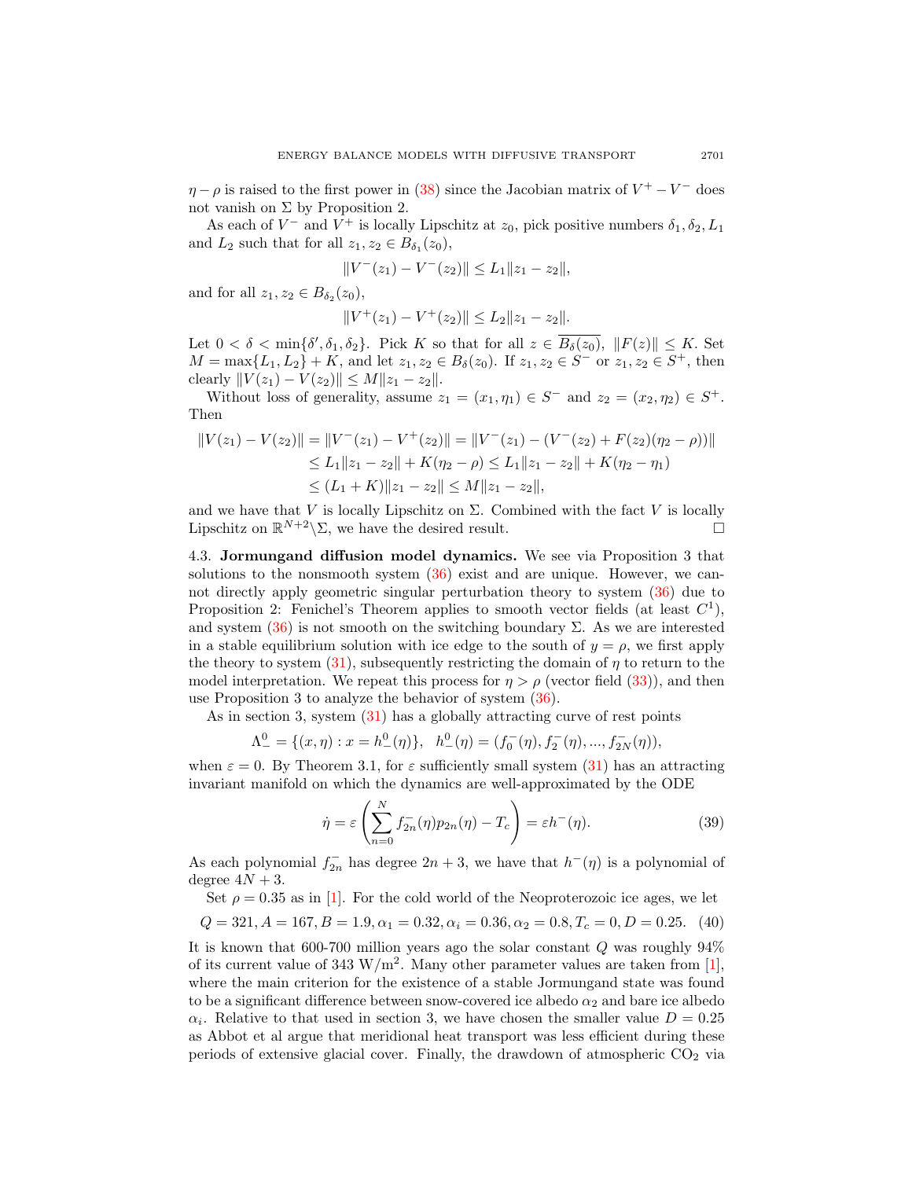$\eta - \rho$  is raised to the first power in [\(38\)](#page-13-2) since the Jacobian matrix of  $V^+ - V^-$  does not vanish on  $\Sigma$  by Proposition 2.

As each of  $V^-$  and  $V^+$  is locally Lipschitz at  $z_0$ , pick positive numbers  $\delta_1, \delta_2, L_1$ and  $L_2$  such that for all  $z_1, z_2 \in B_{\delta_1}(z_0)$ ,

$$
||V^-(z_1) - V^-(z_2)|| \le L_1 ||z_1 - z_2||,
$$

and for all  $z_1, z_2 \in B_{\delta_2}(z_0)$ ,

$$
||V^+(z_1) - V^+(z_2)|| \le L_2 ||z_1 - z_2||.
$$

Let  $0 < \delta < \min\{\delta', \delta_1, \delta_2\}$ . Pick K so that for all  $z \in B_\delta(z_0), ||F(z)|| \leq K$ . Set  $M = \max\{L_1, L_2\} + K$ , and let  $z_1, z_2 \in B_\delta(z_0)$ . If  $z_1, z_2 \in S^-$  or  $z_1, z_2 \in S^+$ , then clearly  $||V(z_1) - V(z_2)|| \le M||z_1 - z_2||.$ 

Without loss of generality, assume  $z_1 = (x_1, \eta_1) \in S^-$  and  $z_2 = (x_2, \eta_2) \in S^+$ . Then

$$
||V(z_1) - V(z_2)|| = ||V^-(z_1) - V^+(z_2)|| = ||V^-(z_1) - (V^-(z_2) + F(z_2)(\eta_2 - \rho))||
$$
  
\n
$$
\le L_1 ||z_1 - z_2|| + K(\eta_2 - \rho) \le L_1 ||z_1 - z_2|| + K(\eta_2 - \eta_1)
$$
  
\n
$$
\le (L_1 + K) ||z_1 - z_2|| \le M ||z_1 - z_2||,
$$

and we have that V is locally Lipschitz on  $\Sigma$ . Combined with the fact V is locally Lipschitz on  $\mathbb{R}^{N+2} \backslash \Sigma$ , we have the desired result.

4.3. Jormungand diffusion model dynamics. We see via Proposition 3 that solutions to the nonsmooth system [\(36\)](#page-13-1) exist and are unique. However, we cannot directly apply geometric singular perturbation theory to system [\(36\)](#page-13-1) due to Proposition 2: Fenichel's Theorem applies to smooth vector fields (at least  $C<sup>1</sup>$ ), and system  $(36)$  is not smooth on the switching boundary  $\Sigma$ . As we are interested in a stable equilibrium solution with ice edge to the south of  $y = \rho$ , we first apply the theory to system  $(31)$ , subsequently restricting the domain of  $\eta$  to return to the model interpretation. We repeat this process for  $\eta > \rho$  (vector field [\(33\)](#page-12-2)), and then use Proposition 3 to analyze the behavior of system [\(36\)](#page-13-1).

As in section 3, system [\(31\)](#page-12-1) has a globally attracting curve of rest points

$$
\Lambda^0_- = \{ (x, \eta) : x = h^0_-(\eta) \}, \quad h^0_-(\eta) = (f_0^-(\eta), f_2^-(\eta), ..., f_{2N}^-(\eta)),
$$

when  $\varepsilon = 0$ . By Theorem 3.1, for  $\varepsilon$  sufficiently small system [\(31\)](#page-12-1) has an attracting invariant manifold on which the dynamics are well-approximated by the ODE

$$
\dot{\eta} = \varepsilon \left( \sum_{n=0}^{N} f_{2n}^{-}(\eta) p_{2n}(\eta) - T_c \right) = \varepsilon h^{-}(\eta). \tag{39}
$$

As each polynomial  $f_{2n}^-$  has degree  $2n+3$ , we have that  $h^-(\eta)$  is a polynomial of degree  $4N + 3$ .

Set  $\rho = 0.35$  as in [\[1\]](#page-26-8). For the cold world of the Neoproterozoic ice ages, we let

<span id="page-14-0"></span>
$$
Q = 321, A = 167, B = 1.9, \alpha_1 = 0.32, \alpha_i = 0.36, \alpha_2 = 0.8, T_c = 0, D = 0.25.
$$
 (40)

It is known that 600-700 million years ago the solar constant Q was roughly 94% of its current value of 343  $\text{W/m}^2$ . Many other parameter values are taken from [\[1\]](#page-26-8), where the main criterion for the existence of a stable Jormungand state was found to be a significant difference between snow-covered ice albedo  $\alpha_2$  and bare ice albedo  $\alpha_i$ . Relative to that used in section 3, we have chosen the smaller value  $D = 0.25$ as Abbot et al argue that meridional heat transport was less efficient during these periods of extensive glacial cover. Finally, the drawdown of atmospheric  $CO<sub>2</sub>$  via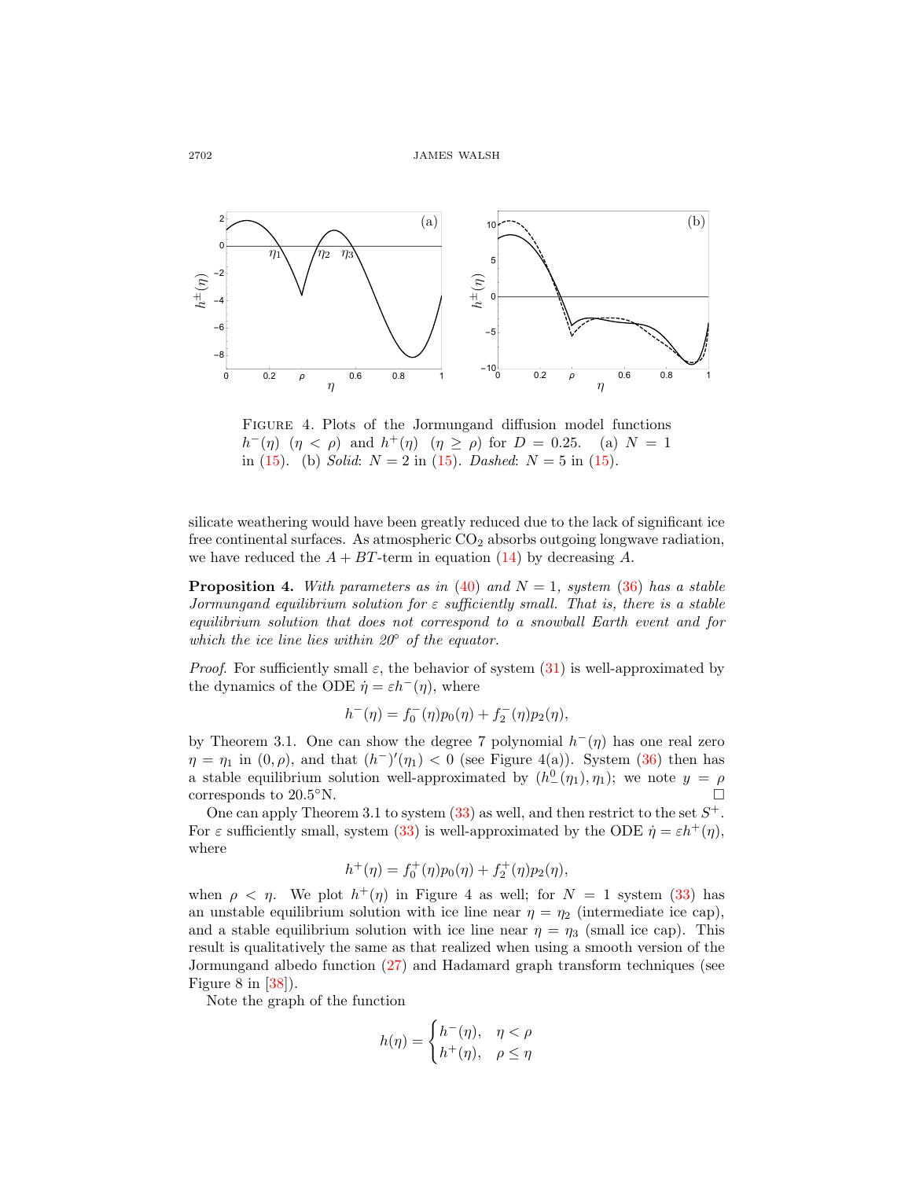

Figure 4. Plots of the Jormungand diffusion model functions  $h^-(\eta)$   $(\eta < \rho)$  and  $h^+(\eta)$   $(\eta \ge \rho)$  for  $D = 0.25$ . (a)  $N = 1$ in [\(15\)](#page-6-2). (b) Solid:  $N = 2$  in (15). Dashed:  $N = 5$  in (15).

silicate weathering would have been greatly reduced due to the lack of significant ice free continental surfaces. As atmospheric  $CO<sub>2</sub>$  absorbs outgoing longwave radiation, we have reduced the  $A + BT$ -term in equation [\(14\)](#page-6-1) by decreasing A.

**Proposition 4.** With parameters as in [\(40\)](#page-14-0) and  $N = 1$ , system [\(36\)](#page-13-1) has a stable Jormungand equilibrium solution for  $\varepsilon$  sufficiently small. That is, there is a stable equilibrium solution that does not correspond to a snowball Earth event and for which the ice line lies within  $20^\circ$  of the equator.

*Proof.* For sufficiently small  $\varepsilon$ , the behavior of system [\(31\)](#page-12-1) is well-approximated by the dynamics of the ODE  $\dot{\eta} = \varepsilon h^{-1}(\eta)$ , where

$$
h^-(\eta) = f_0^-(\eta)p_0(\eta) + f_2^-(\eta)p_2(\eta),
$$

by Theorem 3.1. One can show the degree 7 polynomial  $h^-(\eta)$  has one real zero  $\eta = \eta_1$  in  $(0, \rho)$ , and that  $(h^-)'(\eta_1) < 0$  (see Figure 4(a)). System [\(36\)](#page-13-1) then has a stable equilibrium solution well-approximated by  $(h<sup>0</sup>(\eta<sub>1</sub>), \eta<sub>1</sub>)$ ; we note  $y = \rho$ corresponds to  $20.5°N$ .

One can apply Theorem 3.1 to system  $(33)$  as well, and then restrict to the set  $S^+$ . For  $\varepsilon$  sufficiently small, system [\(33\)](#page-12-2) is well-approximated by the ODE  $\dot{\eta} = \varepsilon h^+(\eta)$ , where

$$
h^+(\eta) = f_0^+(\eta)p_0(\eta) + f_2^+(\eta)p_2(\eta),
$$

when  $\rho \langle \eta$ . We plot  $h^+(\eta)$  in Figure 4 as well; for  $N = 1$  system [\(33\)](#page-12-2) has an unstable equilibrium solution with ice line near  $\eta = \eta_2$  (intermediate ice cap), and a stable equilibrium solution with ice line near  $\eta = \eta_3$  (small ice cap). This result is qualitatively the same as that realized when using a smooth version of the Jormungand albedo function [\(27\)](#page-11-0) and Hadamard graph transform techniques (see Figure 8 in [\[38\]](#page-28-2)).

Note the graph of the function

$$
h(\eta) = \begin{cases} h^-(\eta), & \eta < \rho \\ h^+(\eta), & \rho \le \eta \end{cases}
$$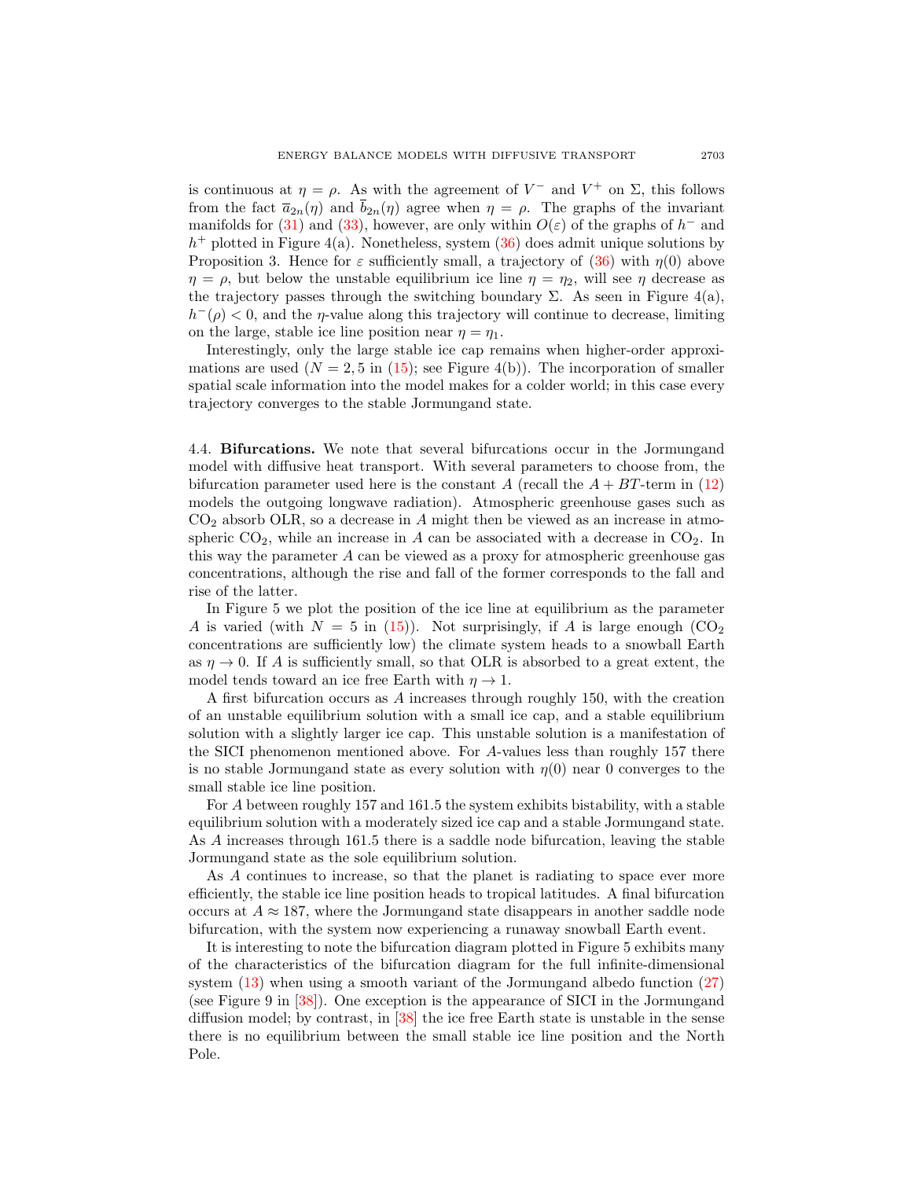is continuous at  $\eta = \rho$ . As with the agreement of  $V^-$  and  $V^+$  on  $\Sigma$ , this follows from the fact  $\bar{a}_{2n}(\eta)$  and  $\bar{b}_{2n}(\eta)$  agree when  $\eta = \rho$ . The graphs of the invariant manifolds for [\(31\)](#page-12-1) and [\(33\)](#page-12-2), however, are only within  $O(\varepsilon)$  of the graphs of  $h^-$  and  $h<sup>+</sup>$  plotted in Figure 4(a). Nonetheless, system  $(36)$  does admit unique solutions by Proposition 3. Hence for  $\varepsilon$  sufficiently small, a trajectory of [\(36\)](#page-13-1) with  $\eta(0)$  above  $\eta = \rho$ , but below the unstable equilibrium ice line  $\eta = \eta_2$ , will see  $\eta$  decrease as the trajectory passes through the switching boundary  $\Sigma$ . As seen in Figure 4(a),  $h^-(\rho) < 0$ , and the *η*-value along this trajectory will continue to decrease, limiting on the large, stable ice line position near  $\eta = \eta_1$ .

Interestingly, only the large stable ice cap remains when higher-order approximations are used  $(N = 2.5$  in [\(15\)](#page-6-2); see Figure 4(b)). The incorporation of smaller spatial scale information into the model makes for a colder world; in this case every trajectory converges to the stable Jormungand state.

4.4. Bifurcations. We note that several bifurcations occur in the Jormungand model with diffusive heat transport. With several parameters to choose from, the bifurcation parameter used here is the constant A (recall the  $A + BT$ -term in [\(12\)](#page-5-0) models the outgoing longwave radiation). Atmospheric greenhouse gases such as  $CO<sub>2</sub>$  absorb OLR, so a decrease in A might then be viewed as an increase in atmospheric  $CO<sub>2</sub>$ , while an increase in A can be associated with a decrease in  $CO<sub>2</sub>$ . In this way the parameter A can be viewed as a proxy for atmospheric greenhouse gas concentrations, although the rise and fall of the former corresponds to the fall and rise of the latter.

In Figure 5 we plot the position of the ice line at equilibrium as the parameter A is varied (with  $N = 5$  in [\(15\)](#page-6-2)). Not surprisingly, if A is large enough (CO<sub>2</sub>) concentrations are sufficiently low) the climate system heads to a snowball Earth as  $\eta \to 0$ . If A is sufficiently small, so that OLR is absorbed to a great extent, the model tends toward an ice free Earth with  $\eta \to 1$ .

A first bifurcation occurs as A increases through roughly 150, with the creation of an unstable equilibrium solution with a small ice cap, and a stable equilibrium solution with a slightly larger ice cap. This unstable solution is a manifestation of the SICI phenomenon mentioned above. For A-values less than roughly 157 there is no stable Jormungand state as every solution with  $\eta(0)$  near 0 converges to the small stable ice line position.

For A between roughly 157 and 161.5 the system exhibits bistability, with a stable equilibrium solution with a moderately sized ice cap and a stable Jormungand state. As A increases through 161.5 there is a saddle node bifurcation, leaving the stable Jormungand state as the sole equilibrium solution.

As A continues to increase, so that the planet is radiating to space ever more efficiently, the stable ice line position heads to tropical latitudes. A final bifurcation occurs at  $A \approx 187$ , where the Jormungand state disappears in another saddle node bifurcation, with the system now experiencing a runaway snowball Earth event.

It is interesting to note the bifurcation diagram plotted in Figure 5 exhibits many of the characteristics of the bifurcation diagram for the full infinite-dimensional system [\(13\)](#page-5-2) when using a smooth variant of the Jormungand albedo function [\(27\)](#page-11-0) (see Figure 9 in [\[38\]](#page-28-2)). One exception is the appearance of SICI in the Jormungand diffusion model; by contrast, in [\[38\]](#page-28-2) the ice free Earth state is unstable in the sense there is no equilibrium between the small stable ice line position and the North Pole.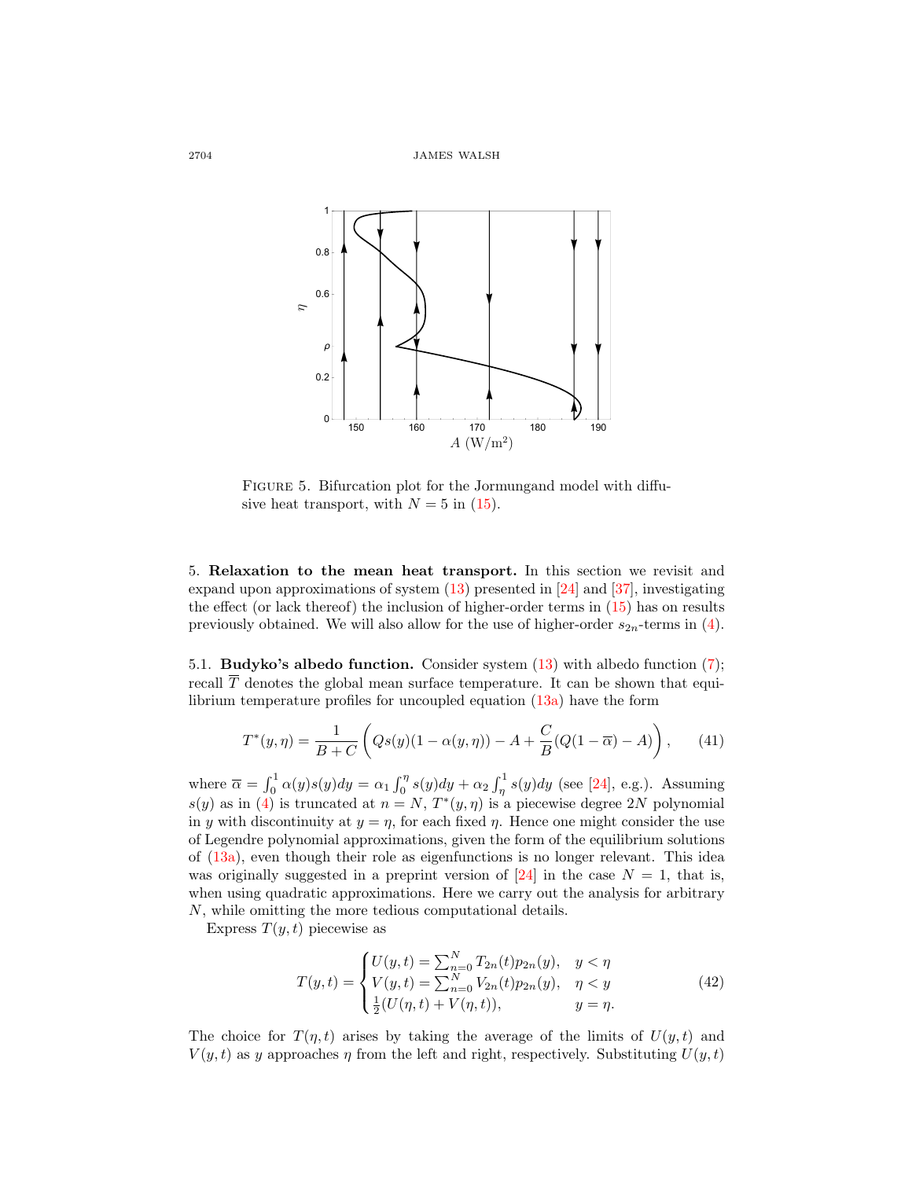

FIGURE 5. Bifurcation plot for the Jormungand model with diffusive heat transport, with  $N = 5$  in [\(15\)](#page-6-2).

5. Relaxation to the mean heat transport. In this section we revisit and expand upon approximations of system [\(13\)](#page-5-2) presented in [\[24\]](#page-27-12) and [\[37\]](#page-28-3), investigating the effect (or lack thereof) the inclusion of higher-order terms in [\(15\)](#page-6-2) has on results previously obtained. We will also allow for the use of higher-order  $s_{2n}$ -terms in [\(4\)](#page-3-1).

5.1. Budyko's albedo function. Consider system [\(13\)](#page-5-2) with albedo function [\(7\)](#page-4-1); recall  $\overline{T}$  denotes the global mean surface temperature. It can be shown that equilibrium temperature profiles for uncoupled equation [\(13a\)](#page-5-3) have the form

$$
T^*(y,\eta) = \frac{1}{B+C} \left( Qs(y)(1-\alpha(y,\eta)) - A + \frac{C}{B}(Q(1-\overline{\alpha}) - A) \right), \quad (41)
$$

where  $\overline{\alpha} = \int_0^1 \alpha(y)s(y)dy = \alpha_1 \int_0^{\eta} s(y)dy + \alpha_2 \int_{\eta}^1 s(y)dy$  (see [\[24\]](#page-27-12), e.g.). Assuming  $s(y)$  as in [\(4\)](#page-3-1) is truncated at  $n = N$ ,  $T^*(y, \eta)$  is a piecewise degree 2N polynomial in y with discontinuity at  $y = \eta$ , for each fixed  $\eta$ . Hence one might consider the use of Legendre polynomial approximations, given the form of the equilibrium solutions of [\(13a\)](#page-5-3), even though their role as eigenfunctions is no longer relevant. This idea was originally suggested in a preprint version of  $[24]$  in the case  $N = 1$ , that is, when using quadratic approximations. Here we carry out the analysis for arbitrary N, while omitting the more tedious computational details.

Express  $T(y, t)$  piecewise as

$$
T(y,t) = \begin{cases} U(y,t) = \sum_{n=0}^{N} T_{2n}(t) p_{2n}(y), & y < \eta \\ V(y,t) = \sum_{n=0}^{N} V_{2n}(t) p_{2n}(y), & \eta < y \\ \frac{1}{2}(U(\eta,t) + V(\eta,t)), & y = \eta. \end{cases}
$$
(42)

The choice for  $T(\eta, t)$  arises by taking the average of the limits of  $U(y, t)$  and  $V(y, t)$  as y approaches  $\eta$  from the left and right, respectively. Substituting  $U(y, t)$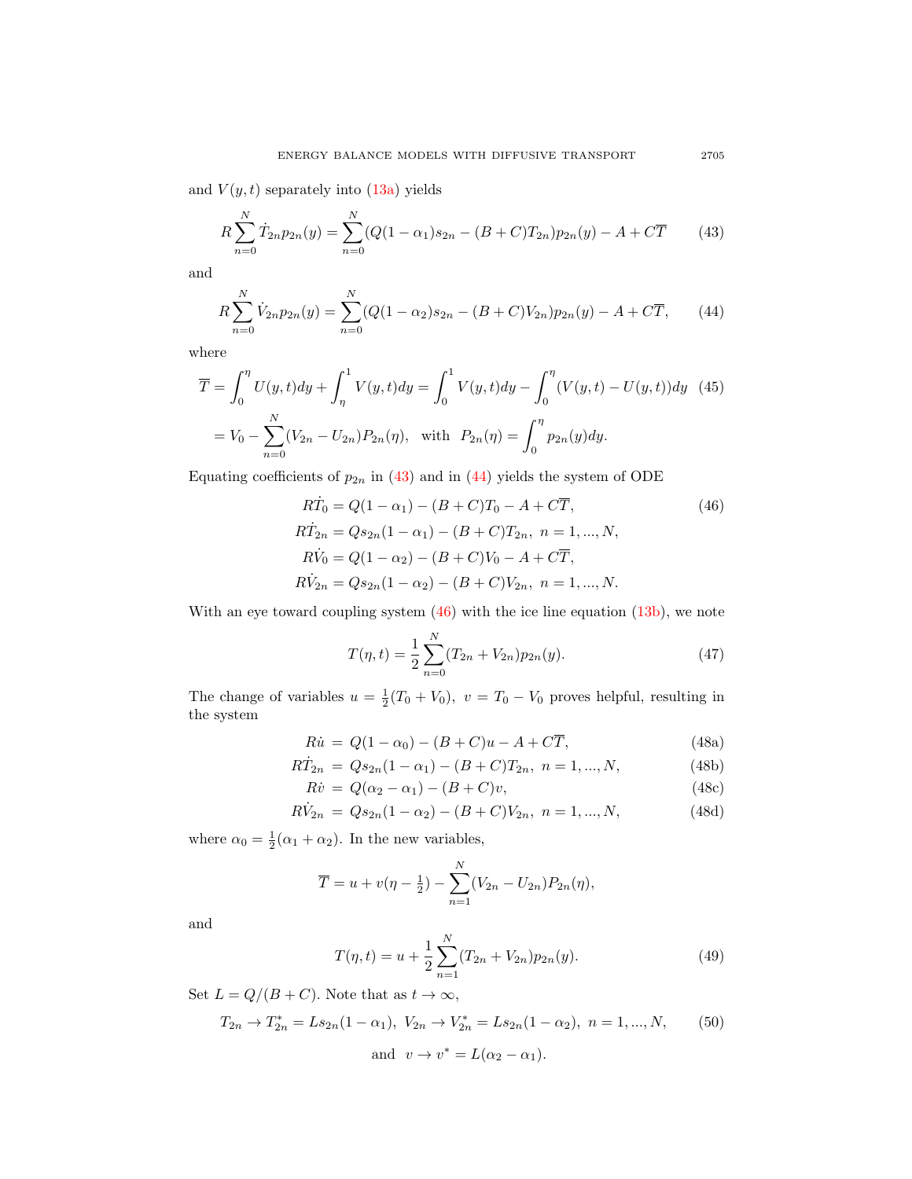and  $V(y, t)$  separately into  $(13a)$  yields

<span id="page-18-0"></span>
$$
R\sum_{n=0}^{N} \dot{T}_{2n} p_{2n}(y) = \sum_{n=0}^{N} (Q(1-\alpha_1)s_{2n} - (B+C)T_{2n}) p_{2n}(y) - A + C\overline{T}
$$
(43)

and

<span id="page-18-1"></span>
$$
R\sum_{n=0}^{N}\dot{V}_{2n}p_{2n}(y) = \sum_{n=0}^{N}(Q(1-\alpha_2)s_{2n} - (B+C)V_{2n})p_{2n}(y) - A + C\overline{T},\qquad(44)
$$

where

$$
\overline{T} = \int_0^{\eta} U(y, t) dy + \int_{\eta}^1 V(y, t) dy = \int_0^1 V(y, t) dy - \int_0^{\eta} (V(y, t) - U(y, t)) dy \quad (45)
$$

$$
= V_0 - \sum_{n=0}^N (V_{2n} - U_{2n}) P_{2n}(\eta), \text{ with } P_{2n}(\eta) = \int_0^{\eta} p_{2n}(y) dy.
$$

Equating coefficients of  $p_{2n}$  in [\(43\)](#page-18-0) and in [\(44\)](#page-18-1) yields the system of ODE

$$
R\dot{T}_0 = Q(1 - \alpha_1) - (B + C)T_0 - A + C\overline{T},
$$
\n(46)  
\n
$$
R\dot{T}_{2n} = Qs_{2n}(1 - \alpha_1) - (B + C)T_{2n}, \quad n = 1, ..., N,
$$
\n
$$
R\dot{V}_0 = Q(1 - \alpha_2) - (B + C)V_0 - A + C\overline{T},
$$
\n
$$
R\dot{V}_{2n} = Qs_{2n}(1 - \alpha_2) - (B + C)V_{2n}, \quad n = 1, ..., N.
$$

With an eye toward coupling system  $(46)$  with the ice line equation  $(13b)$ , we note

$$
T(\eta, t) = \frac{1}{2} \sum_{n=0}^{N} (T_{2n} + V_{2n}) p_{2n}(y).
$$
 (47)

The change of variables  $u = \frac{1}{2}(T_0 + V_0)$ ,  $v = T_0 - V_0$  proves helpful, resulting in the system

<span id="page-18-4"></span><span id="page-18-3"></span>
$$
R\dot{u} = Q(1 - \alpha_0) - (B + C)u - A + C\overline{T},
$$
\n(48a)

$$
R\dot{T}_{2n} = Qs_{2n}(1 - \alpha_1) - (B + C)T_{2n}, \ n = 1, ..., N,
$$
\n(48b)

$$
R\dot{v} = Q(\alpha_2 - \alpha_1) - (B + C)v,
$$
\n(48c)

$$
R\dot{V}_{2n} = Qs_{2n}(1 - \alpha_2) - (B + C)V_{2n}, \ n = 1, ..., N,
$$
\n(48d)

where  $\alpha_0 = \frac{1}{2}(\alpha_1 + \alpha_2)$ . In the new variables,

$$
\overline{T} = u + v(\eta - \frac{1}{2}) - \sum_{n=1}^{N} (V_{2n} - U_{2n}) P_{2n}(\eta),
$$

and

<span id="page-18-5"></span>
$$
T(\eta, t) = u + \frac{1}{2} \sum_{n=1}^{N} (T_{2n} + V_{2n}) p_{2n}(y).
$$
 (49)

Set  $L = Q/(B+C)$ . Note that as  $t \to \infty$ ,

<span id="page-18-6"></span>
$$
T_{2n} \to T_{2n}^* = Ls_{2n}(1 - \alpha_1), \ V_{2n} \to V_{2n}^* = Ls_{2n}(1 - \alpha_2), \ n = 1, ..., N,
$$
 (50)  
and  $v \to v^* = L(\alpha_2 - \alpha_1).$ 

<span id="page-18-2"></span>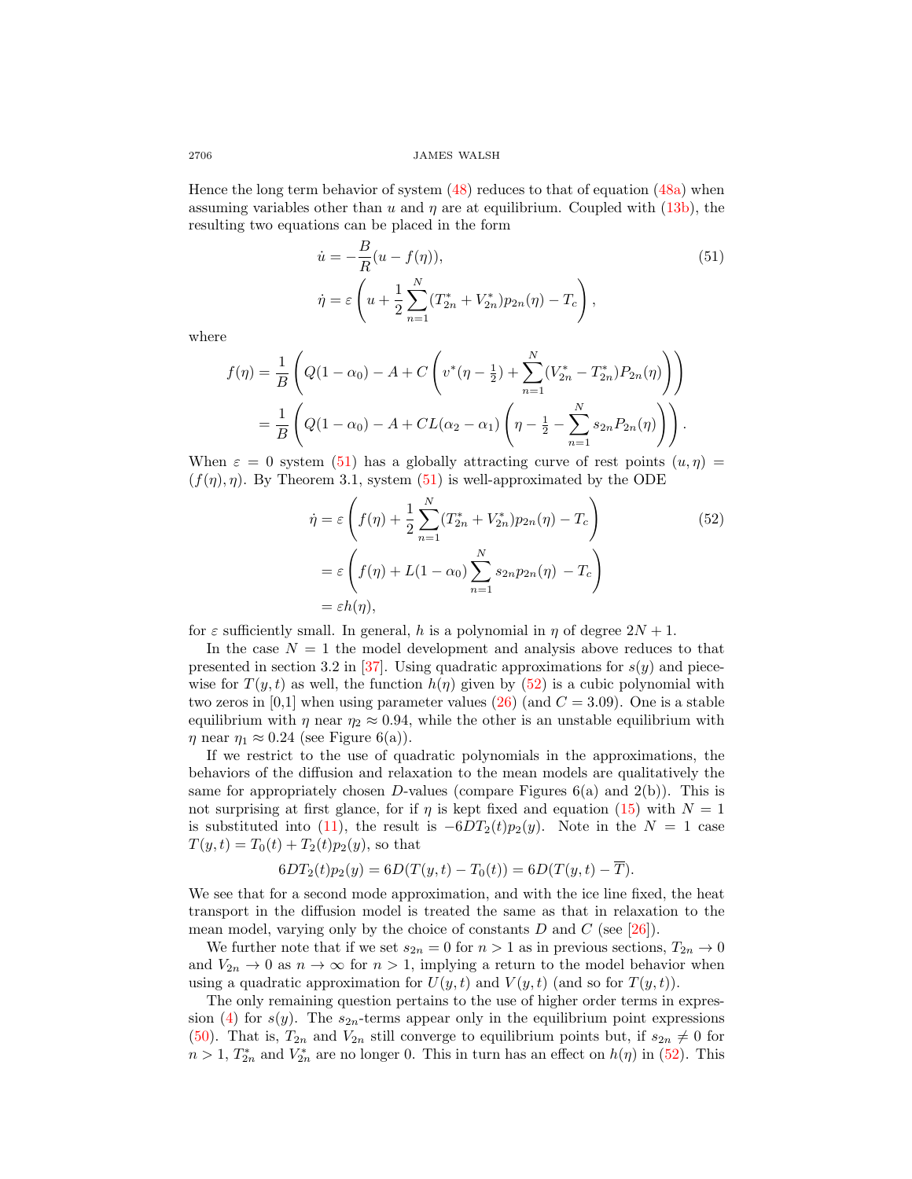Hence the long term behavior of system [\(48\)](#page-18-3) reduces to that of equation [\(48a\)](#page-18-4) when assuming variables other than u and  $\eta$  are at equilibrium. Coupled with [\(13b\)](#page-5-3), the resulting two equations can be placed in the form

$$
\dot{u} = -\frac{B}{R}(u - f(\eta)),
$$
\n
$$
\dot{\eta} = \varepsilon \left( u + \frac{1}{2} \sum_{n=1}^{N} (T_{2n}^{*} + V_{2n}^{*}) p_{2n}(\eta) - T_c \right),
$$
\n(51)

where

$$
f(\eta) = \frac{1}{B} \left( Q(1 - \alpha_0) - A + C \left( v^*(\eta - \frac{1}{2}) + \sum_{n=1}^N (V_{2n}^* - T_{2n}^*) P_{2n}(\eta) \right) \right)
$$
  
= 
$$
\frac{1}{B} \left( Q(1 - \alpha_0) - A + CL(\alpha_2 - \alpha_1) \left( \eta - \frac{1}{2} - \sum_{n=1}^N s_{2n} P_{2n}(\eta) \right) \right).
$$

When  $\varepsilon = 0$  system [\(51\)](#page-18-5) has a globally attracting curve of rest points  $(u, \eta) =$  $(f(\eta), \eta)$ . By Theorem 3.1, system [\(51\)](#page-18-5) is well-approximated by the ODE

<span id="page-19-0"></span>
$$
\dot{\eta} = \varepsilon \left( f(\eta) + \frac{1}{2} \sum_{n=1}^{N} (T_{2n}^{*} + V_{2n}^{*}) p_{2n}(\eta) - T_c \right)
$$
\n
$$
= \varepsilon \left( f(\eta) + L(1 - \alpha_0) \sum_{n=1}^{N} s_{2n} p_{2n}(\eta) - T_c \right)
$$
\n
$$
= \varepsilon h(\eta),
$$
\n(52)

for  $\varepsilon$  sufficiently small. In general, h is a polynomial in  $\eta$  of degree  $2N + 1$ .

In the case  $N = 1$  the model development and analysis above reduces to that presented in section 3.2 in [\[37\]](#page-28-3). Using quadratic approximations for  $s(y)$  and piecewise for  $T(y,t)$  as well, the function  $h(\eta)$  given by [\(52\)](#page-19-0) is a cubic polynomial with two zeros in [0,1] when using parameter values [\(26\)](#page-8-2) (and  $C = 3.09$ ). One is a stable equilibrium with  $\eta$  near  $\eta_2 \approx 0.94$ , while the other is an unstable equilibrium with  $\eta$  near  $\eta_1 \approx 0.24$  (see Figure 6(a)).

If we restrict to the use of quadratic polynomials in the approximations, the behaviors of the diffusion and relaxation to the mean models are qualitatively the same for appropriately chosen D-values (compare Figures  $6(a)$  and  $2(b)$ ). This is not surprising at first glance, for if  $\eta$  is kept fixed and equation [\(15\)](#page-6-2) with  $N = 1$ is substituted into [\(11\)](#page-5-1), the result is  $-6DT_2(t)p_2(y)$ . Note in the  $N = 1$  case  $T(y,t) = T_0(t) + T_2(t)p_2(y)$ , so that

<span id="page-19-1"></span>
$$
6DT_2(t)p_2(y) = 6D(T(y,t) - T_0(t)) = 6D(T(y,t) - \overline{T}).
$$

We see that for a second mode approximation, and with the ice line fixed, the heat transport in the diffusion model is treated the same as that in relaxation to the mean model, varying only by the choice of constants  $D$  and  $C$  (see [\[26\]](#page-27-16)).

We further note that if we set  $s_{2n} = 0$  for  $n > 1$  as in previous sections,  $T_{2n} \to 0$ and  $V_{2n} \to 0$  as  $n \to \infty$  for  $n > 1$ , implying a return to the model behavior when using a quadratic approximation for  $U(y, t)$  and  $V(y, t)$  (and so for  $T(y, t)$ ).

The only remaining question pertains to the use of higher order terms in expres-sion [\(4\)](#page-3-1) for  $s(y)$ . The  $s_{2n}$ -terms appear only in the equilibrium point expressions [\(50\)](#page-18-6). That is,  $T_{2n}$  and  $V_{2n}$  still converge to equilibrium points but, if  $s_{2n} \neq 0$  for  $n > 1$ ,  $T_{2n}^*$  and  $V_{2n}^*$  are no longer 0. This in turn has an effect on  $h(\eta)$  in [\(52\)](#page-19-0). This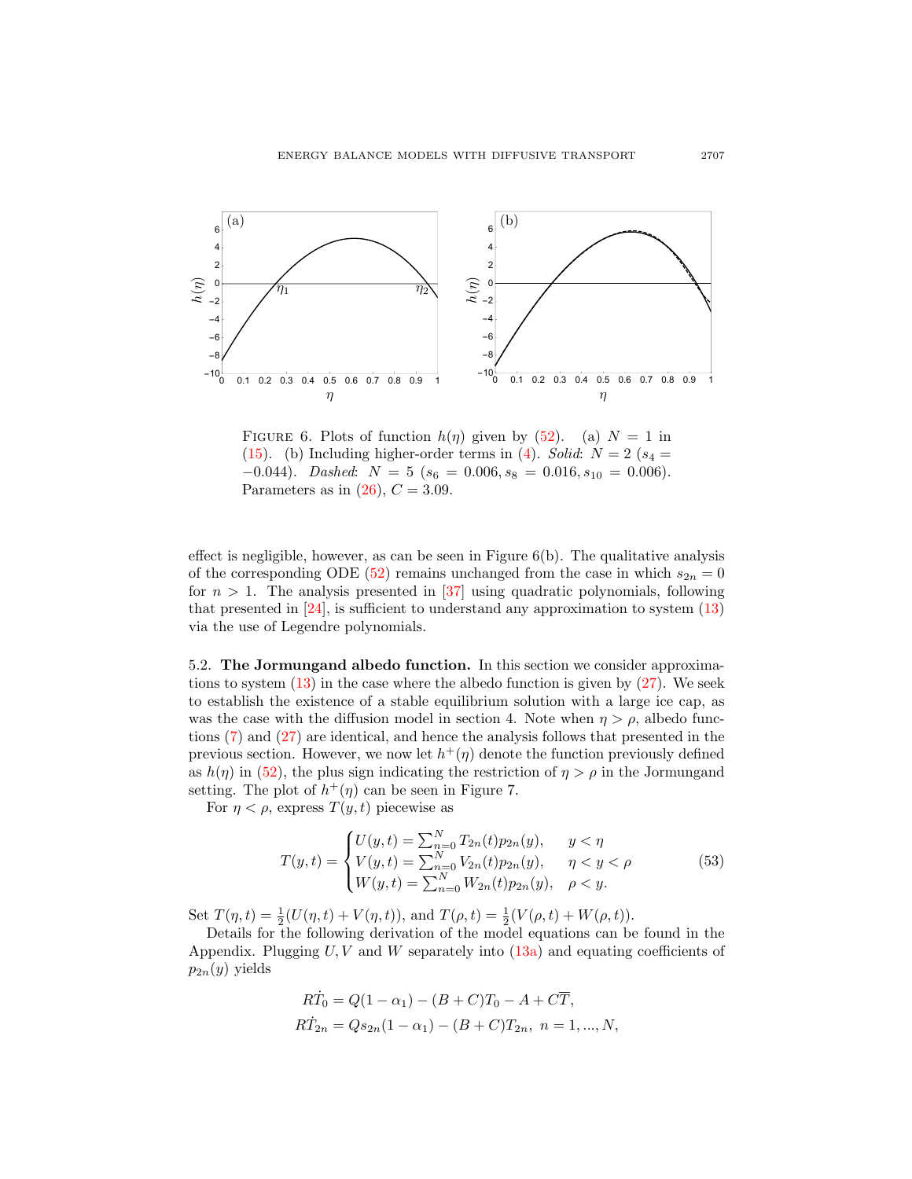

FIGURE 6. Plots of function  $h(\eta)$  given by [\(52\)](#page-19-0). (a)  $N = 1$  in [\(15\)](#page-6-2). (b) Including higher-order terms in [\(4\)](#page-3-1). Solid:  $N = 2$  ( $s_4 =$  $-0.044$ ). Dashed:  $N = 5$  ( $s_6 = 0.006, s_8 = 0.016, s_{10} = 0.006$ ). Parameters as in  $(26)$ ,  $C = 3.09$ .

effect is negligible, however, as can be seen in Figure  $6(b)$ . The qualitative analysis of the corresponding ODE [\(52\)](#page-19-0) remains unchanged from the case in which  $s_{2n} = 0$ for  $n > 1$ . The analysis presented in [\[37\]](#page-28-3) using quadratic polynomials, following that presented in [\[24\]](#page-27-12), is sufficient to understand any approximation to system [\(13\)](#page-5-2) via the use of Legendre polynomials.

5.2. The Jormungand albedo function. In this section we consider approximations to system [\(13\)](#page-5-2) in the case where the albedo function is given by [\(27\)](#page-11-0). We seek to establish the existence of a stable equilibrium solution with a large ice cap, as was the case with the diffusion model in section 4. Note when  $\eta > \rho$ , albedo functions [\(7\)](#page-4-1) and [\(27\)](#page-11-0) are identical, and hence the analysis follows that presented in the previous section. However, we now let  $h^+(\eta)$  denote the function previously defined as  $h(\eta)$  in [\(52\)](#page-19-0), the plus sign indicating the restriction of  $\eta > \rho$  in the Jormungand setting. The plot of  $h^+(\eta)$  can be seen in Figure 7.

For  $\eta < \rho$ , express  $T(y, t)$  piecewise as

$$
T(y,t) = \begin{cases} U(y,t) = \sum_{n=0}^{N} T_{2n}(t) p_{2n}(y), & y < \eta \\ V(y,t) = \sum_{n=0}^{N} V_{2n}(t) p_{2n}(y), & \eta < y < \rho \\ W(y,t) = \sum_{n=0}^{N} W_{2n}(t) p_{2n}(y), & \rho < y. \end{cases}
$$
(53)

Set  $T(\eta, t) = \frac{1}{2}(U(\eta, t) + V(\eta, t)),$  and  $T(\rho, t) = \frac{1}{2}(V(\rho, t) + W(\rho, t)).$ 

Details for the following derivation of the model equations can be found in the Appendix. Plugging  $U, V$  and W separately into  $(13a)$  and equating coefficients of  $p_{2n}(y)$  yields

$$
R\dot{T}_0 = Q(1 - \alpha_1) - (B + C)T_0 - A + C\overline{T},
$$
  
\n
$$
R\dot{T}_{2n} = Qs_{2n}(1 - \alpha_1) - (B + C)T_{2n}, \quad n = 1, ..., N,
$$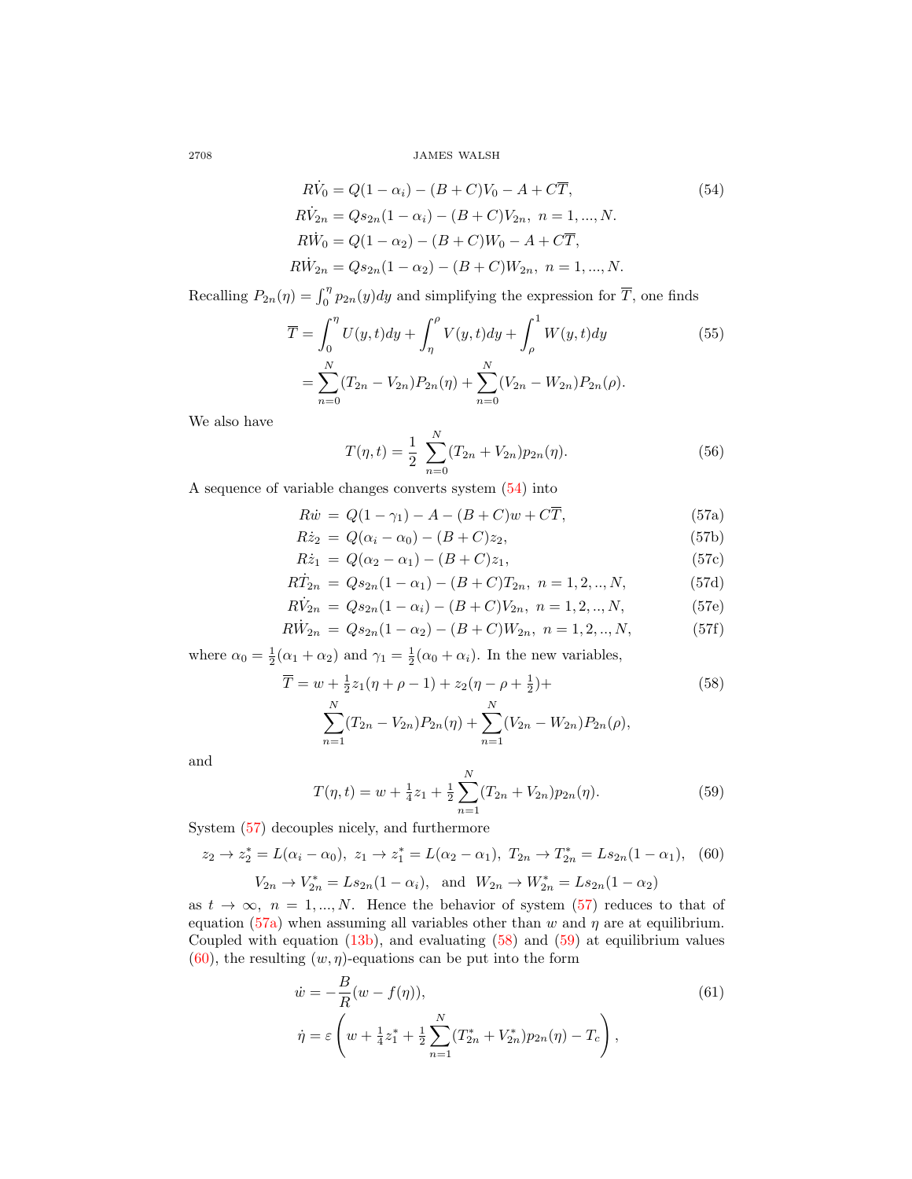$$
R\dot{V}_0 = Q(1 - \alpha_i) - (B + C)V_0 - A + C\overline{T},
$$
\n
$$
R\dot{V}_{2n} = Qs_{2n}(1 - \alpha_i) - (B + C)V_{2n}, \quad n = 1, ..., N.
$$
\n
$$
R\dot{W}_0 = Q(1 - \alpha_2) - (B + C)W_0 - A + C\overline{T},
$$
\n
$$
R\dot{W}_{2n} = Qs_{2n}(1 - \alpha_2) - (B + C)W_{2n}, \quad n = 1, ..., N.
$$
\n(54)

Recalling  $P_{2n}(\eta) = \int_0^{\eta} p_{2n}(y) dy$  and simplifying the expression for  $\overline{T}$ , one finds

<span id="page-21-7"></span><span id="page-21-3"></span><span id="page-21-1"></span><span id="page-21-0"></span> $\overline{N}$ 

$$
\overline{T} = \int_0^{\eta} U(y, t) dy + \int_{\eta}^{\rho} V(y, t) dy + \int_{\rho}^1 W(y, t) dy
$$
\n
$$
= \sum_{n=0}^{N} (T_{2n} - V_{2n}) P_{2n}(\eta) + \sum_{n=0}^{N} (V_{2n} - W_{2n}) P_{2n}(\rho).
$$
\n(55)

We also have

<span id="page-21-8"></span>
$$
T(\eta, t) = \frac{1}{2} \sum_{n=0}^{N} (T_{2n} + V_{2n}) p_{2n}(\eta).
$$
 (56)

A sequence of variable changes converts system [\(54\)](#page-21-0) into

<span id="page-21-2"></span>
$$
R\dot{w} = Q(1 - \gamma_1) - A - (B + C)w + C\overline{T},
$$
\n(57a)

$$
R\dot{z}_2 = Q(\alpha_i - \alpha_0) - (B + C)z_2, \tag{57b}
$$

$$
R\dot{z}_1 = Q(\alpha_2 - \alpha_1) - (B + C)z_1, \tag{57c}
$$

$$
R\dot{T}_{2n} = Qs_{2n}(1 - \alpha_1) - (B + C)T_{2n}, \ n = 1, 2, ..., N,
$$
\n(57d)

$$
R\dot{V}_{2n} = Qs_{2n}(1 - \alpha_i) - (B + C)V_{2n}, \ n = 1, 2, ..., N,
$$
\n(57e)

$$
R\dot{W}_{2n} = Qs_{2n}(1 - \alpha_2) - (B + C)W_{2n}, \quad n = 1, 2, ..., N,
$$
\n(57f)

where  $\alpha_0 = \frac{1}{2}(\alpha_1 + \alpha_2)$  and  $\gamma_1 = \frac{1}{2}(\alpha_0 + \alpha_i)$ . In the new variables,

$$
\overline{T} = w + \frac{1}{2}z_1(\eta + \rho - 1) + z_2(\eta - \rho + \frac{1}{2}) +
$$
  
*N* (58)

$$
\sum_{n=1}^{N} (T_{2n} - V_{2n}) P_{2n}(\eta) + \sum_{n=1}^{N} (V_{2n} - W_{2n}) P_{2n}(\rho),
$$

and

<span id="page-21-4"></span>
$$
T(\eta, t) = w + \frac{1}{4}z_1 + \frac{1}{2}\sum_{n=1}^{N} (T_{2n} + V_{2n})p_{2n}(\eta).
$$
 (59)

System [\(57\)](#page-21-1) decouples nicely, and furthermore

<span id="page-21-5"></span>
$$
z_2 \to z_2^* = L(\alpha_i - \alpha_0), \ z_1 \to z_1^* = L(\alpha_2 - \alpha_1), \ T_{2n} \to T_{2n}^* = Ls_{2n}(1 - \alpha_1), \tag{60}
$$

<span id="page-21-6"></span> $V_{2n} \to V_{2n}^* = Ls_{2n}(1 - \alpha_i)$ , and  $W_{2n} \to W_{2n}^* = Ls_{2n}(1 - \alpha_2)$ 

as  $t \to \infty$ ,  $n = 1,...,N$ . Hence the behavior of system [\(57\)](#page-21-1) reduces to that of equation [\(57a\)](#page-21-2) when assuming all variables other than w and  $\eta$  are at equilibrium. Coupled with equation  $(13b)$ , and evaluating  $(58)$  and  $(59)$  at equilibrium values  $(60)$ , the resulting  $(w, \eta)$ -equations can be put into the form

$$
\dot{w} = -\frac{B}{R}(w - f(\eta)),
$$
\n
$$
\dot{\eta} = \varepsilon \left(w + \frac{1}{4}z_1^* + \frac{1}{2}\sum_{n=1}^N (T_{2n}^* + V_{2n}^*)p_{2n}(\eta) - T_c\right),
$$
\n(61)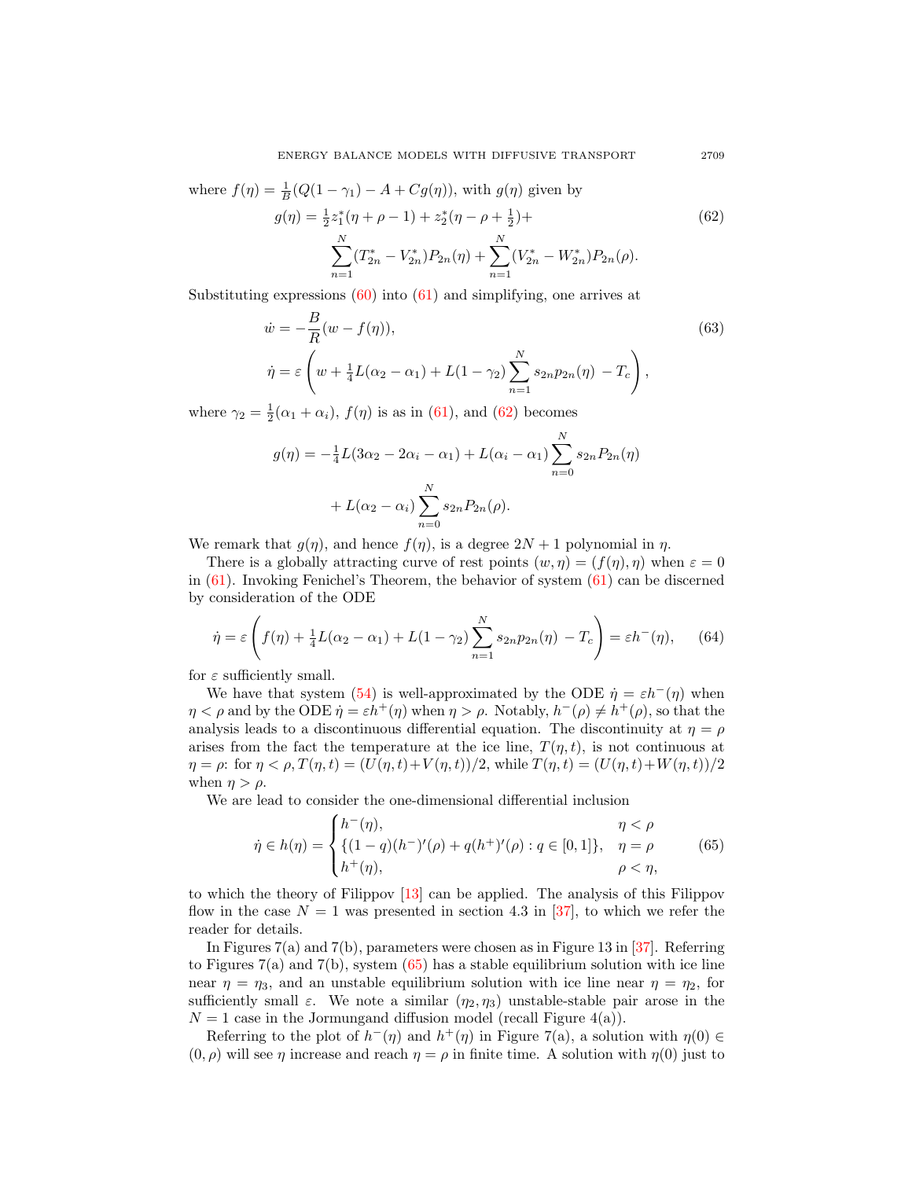where  $f(\eta) = \frac{1}{B}(Q(1 - \gamma_1) - A + Cg(\eta))$ , with  $g(\eta)$  given by  $g(\eta) = \frac{1}{2}z_1^*(\eta + \rho - 1) + z_2^*(\eta - \rho + \frac{1}{2})$  $(62)$  $\sum_{i=1}^{N}$  $n=1$  $(T_{2n}^* - V_{2n}^*)P_{2n}(\eta) + \sum^N$  $n=1$  $(V_{2n}^* - W_{2n}^*) P_{2n}(\rho).$ 

Substituting expressions  $(60)$  into  $(61)$  and simplifying, one arrives at

$$
\dot{w} = -\frac{B}{R}(w - f(\eta)),
$$
\n
$$
\dot{\eta} = \varepsilon \left(w + \frac{1}{4}L(\alpha_2 - \alpha_1) + L(1 - \gamma_2) \sum_{n=1}^{N} s_{2n} p_{2n}(\eta) - T_c\right),
$$
\n(63)

where  $\gamma_2 = \frac{1}{2}(\alpha_1 + \alpha_i)$ ,  $f(\eta)$  is as in [\(61\)](#page-21-6), and [\(62\)](#page-22-0) becomes

$$
g(\eta) = -\frac{1}{4}L(3\alpha_2 - 2\alpha_i - \alpha_1) + L(\alpha_i - \alpha_1) \sum_{n=0}^{N} s_{2n} P_{2n}(\eta)
$$

$$
+ L(\alpha_2 - \alpha_i) \sum_{n=0}^{N} s_{2n} P_{2n}(\rho).
$$

We remark that  $g(\eta)$ , and hence  $f(\eta)$ , is a degree  $2N+1$  polynomial in  $\eta$ .

There is a globally attracting curve of rest points  $(w, \eta) = (f(\eta), \eta)$  when  $\varepsilon = 0$ in  $(61)$ . Invoking Fenichel's Theorem, the behavior of system  $(61)$  can be discerned by consideration of the ODE

<span id="page-22-2"></span>
$$
\dot{\eta} = \varepsilon \left( f(\eta) + \frac{1}{4} L(\alpha_2 - \alpha_1) + L(1 - \gamma_2) \sum_{n=1}^{N} s_{2n} p_{2n}(\eta) - T_c \right) = \varepsilon h^-(\eta), \qquad (64)
$$

for  $\varepsilon$  sufficiently small.

We have that system [\(54\)](#page-21-0) is well-approximated by the ODE  $\dot{\eta} = \varepsilon h^{-}(\eta)$  when  $\eta < \rho$  and by the ODE  $\dot{\eta} = \varepsilon h^+(\eta)$  when  $\eta > \rho$ . Notably,  $h^-(\rho) \neq h^+(\rho)$ , so that the analysis leads to a discontinuous differential equation. The discontinuity at  $\eta = \rho$ arises from the fact the temperature at the ice line,  $T(\eta, t)$ , is not continuous at  $\eta = \rho$ : for  $\eta < \rho, T(\eta, t) = (U(\eta, t) + V(\eta, t))/2$ , while  $T(\eta, t) = (U(\eta, t) + W(\eta, t))/2$ when  $\eta > \rho$ .

We are lead to consider the one-dimensional differential inclusion

<span id="page-22-1"></span>
$$
\dot{\eta} \in h(\eta) = \begin{cases} h^-(\eta), & \eta < \rho \\ \{(1-q)(h^-)'(\rho) + q(h^+)'(\rho) : q \in [0,1]\}, & \eta = \rho \\ h^+(\eta), & \rho < \eta, \end{cases}
$$
(65)

to which the theory of Filippov [\[13\]](#page-27-26) can be applied. The analysis of this Filippov flow in the case  $N = 1$  was presented in section 4.3 in [\[37\]](#page-28-3), to which we refer the reader for details.

In Figures 7(a) and 7(b), parameters were chosen as in Figure 13 in [\[37\]](#page-28-3). Referring to Figures  $7(a)$  and  $7(b)$ , system  $(65)$  has a stable equilibrium solution with ice line near  $\eta = \eta_3$ , and an unstable equilibrium solution with ice line near  $\eta = \eta_2$ , for sufficiently small  $\varepsilon$ . We note a similar  $(\eta_2, \eta_3)$  unstable-stable pair arose in the  $N = 1$  case in the Jormungand diffusion model (recall Figure 4(a)).

Referring to the plot of  $h^-(\eta)$  and  $h^+(\eta)$  in Figure 7(a), a solution with  $\eta(0) \in$  $(0, \rho)$  will see  $\eta$  increase and reach  $\eta = \rho$  in finite time. A solution with  $\eta(0)$  just to

<span id="page-22-0"></span>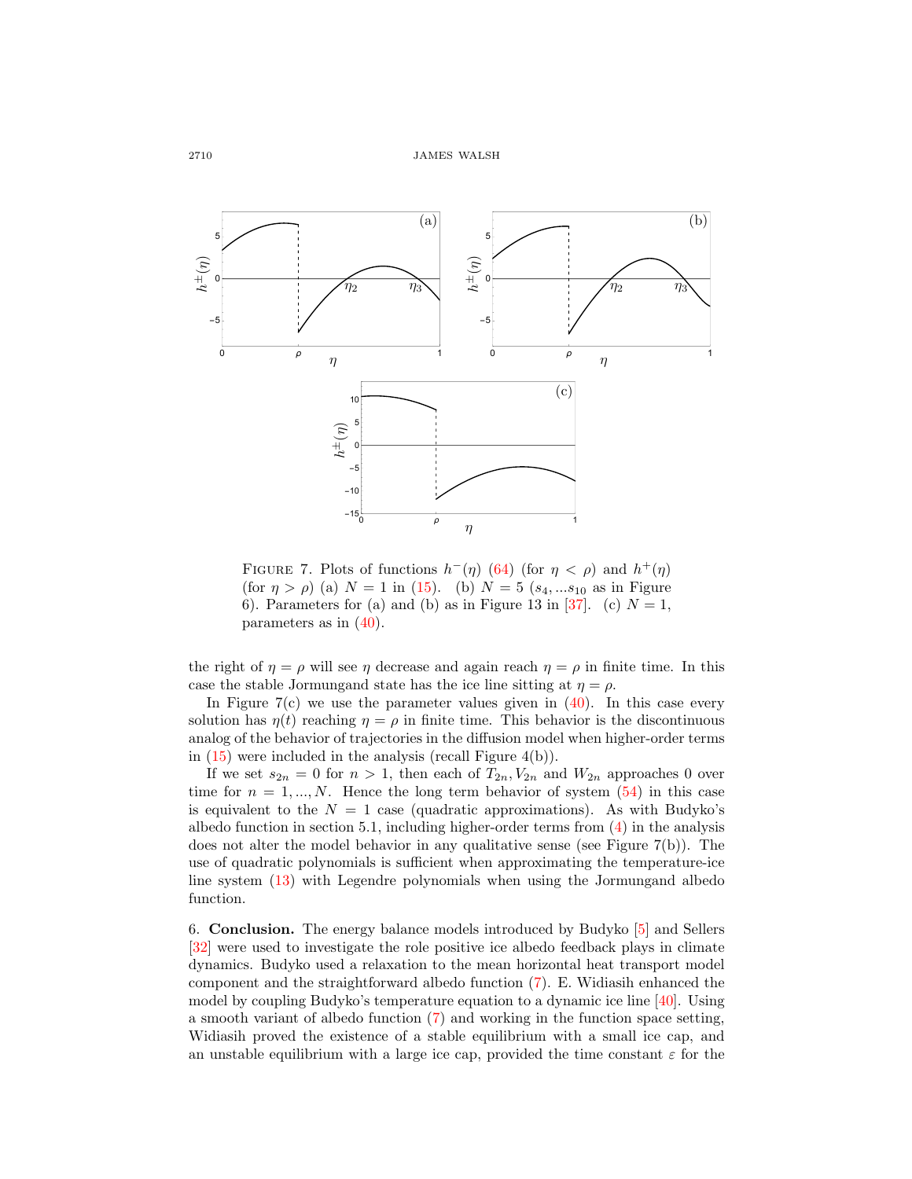

FIGURE 7. Plots of functions  $h^-(\eta)$  [\(64\)](#page-22-2) (for  $\eta < \rho$ ) and  $h^+(\eta)$ (for  $\eta > \rho$ ) (a)  $N = 1$  in [\(15\)](#page-6-2). (b)  $N = 5$  ( $s_4, \dots s_{10}$  as in Figure 6). Parameters for (a) and (b) as in Figure 13 in [\[37\]](#page-28-3). (c)  $N = 1$ , parameters as in [\(40\)](#page-14-0).

the right of  $\eta = \rho$  will see  $\eta$  decrease and again reach  $\eta = \rho$  in finite time. In this case the stable Jormungand state has the ice line sitting at  $\eta = \rho$ .

In Figure  $7(c)$  we use the parameter values given in  $(40)$ . In this case every solution has  $\eta(t)$  reaching  $\eta = \rho$  in finite time. This behavior is the discontinuous analog of the behavior of trajectories in the diffusion model when higher-order terms in  $(15)$  were included in the analysis (recall Figure 4(b)).

If we set  $s_{2n} = 0$  for  $n > 1$ , then each of  $T_{2n}, V_{2n}$  and  $W_{2n}$  approaches 0 over time for  $n = 1, ..., N$ . Hence the long term behavior of system  $(54)$  in this case is equivalent to the  $N = 1$  case (quadratic approximations). As with Budyko's albedo function in section 5.1, including higher-order terms from [\(4\)](#page-3-1) in the analysis does not alter the model behavior in any qualitative sense (see Figure 7(b)). The use of quadratic polynomials is sufficient when approximating the temperature-ice line system [\(13\)](#page-5-2) with Legendre polynomials when using the Jormungand albedo function.

6. Conclusion. The energy balance models introduced by Budyko [\[5\]](#page-26-7) and Sellers [\[32\]](#page-27-10) were used to investigate the role positive ice albedo feedback plays in climate dynamics. Budyko used a relaxation to the mean horizontal heat transport model component and the straightforward albedo function [\(7\)](#page-4-1). E. Widiasih enhanced the model by coupling Budyko's temperature equation to a dynamic ice line [\[40\]](#page-28-1). Using a smooth variant of albedo function [\(7\)](#page-4-1) and working in the function space setting, Widiasih proved the existence of a stable equilibrium with a small ice cap, and an unstable equilibrium with a large ice cap, provided the time constant  $\varepsilon$  for the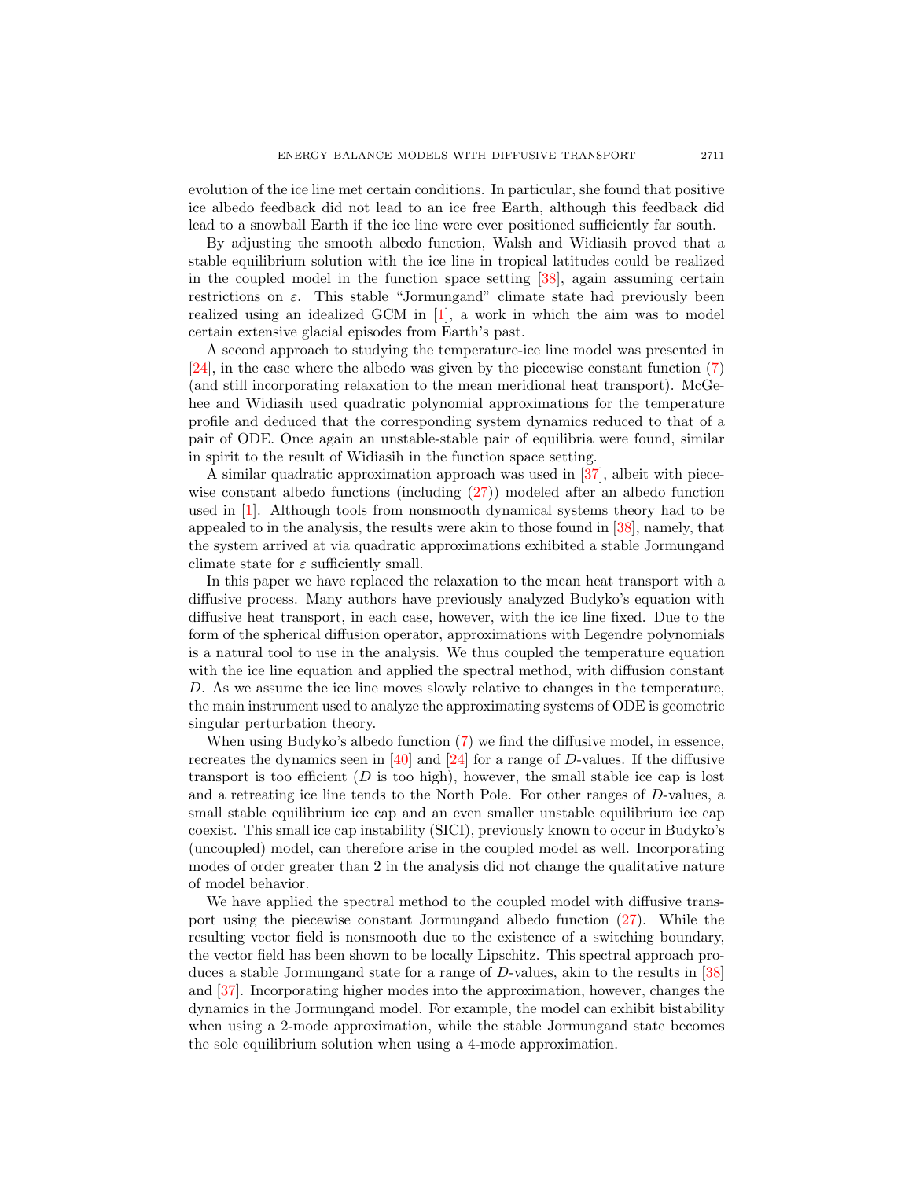evolution of the ice line met certain conditions. In particular, she found that positive ice albedo feedback did not lead to an ice free Earth, although this feedback did lead to a snowball Earth if the ice line were ever positioned sufficiently far south.

By adjusting the smooth albedo function, Walsh and Widiasih proved that a stable equilibrium solution with the ice line in tropical latitudes could be realized in the coupled model in the function space setting [\[38\]](#page-28-2), again assuming certain restrictions on  $\varepsilon$ . This stable "Jormungand" climate state had previously been realized using an idealized GCM in [\[1\]](#page-26-8), a work in which the aim was to model certain extensive glacial episodes from Earth's past.

A second approach to studying the temperature-ice line model was presented in [\[24\]](#page-27-12), in the case where the albedo was given by the piecewise constant function [\(7\)](#page-4-1) (and still incorporating relaxation to the mean meridional heat transport). McGehee and Widiasih used quadratic polynomial approximations for the temperature profile and deduced that the corresponding system dynamics reduced to that of a pair of ODE. Once again an unstable-stable pair of equilibria were found, similar in spirit to the result of Widiasih in the function space setting.

A similar quadratic approximation approach was used in [\[37\]](#page-28-3), albeit with piecewise constant albedo functions (including [\(27\)](#page-11-0)) modeled after an albedo function used in [\[1\]](#page-26-8). Although tools from nonsmooth dynamical systems theory had to be appealed to in the analysis, the results were akin to those found in [\[38\]](#page-28-2), namely, that the system arrived at via quadratic approximations exhibited a stable Jormungand climate state for  $\varepsilon$  sufficiently small.

In this paper we have replaced the relaxation to the mean heat transport with a diffusive process. Many authors have previously analyzed Budyko's equation with diffusive heat transport, in each case, however, with the ice line fixed. Due to the form of the spherical diffusion operator, approximations with Legendre polynomials is a natural tool to use in the analysis. We thus coupled the temperature equation with the ice line equation and applied the spectral method, with diffusion constant D. As we assume the ice line moves slowly relative to changes in the temperature, the main instrument used to analyze the approximating systems of ODE is geometric singular perturbation theory.

When using Budyko's albedo function [\(7\)](#page-4-1) we find the diffusive model, in essence, recreates the dynamics seen in  $[40]$  and  $[24]$  for a range of D-values. If the diffusive transport is too efficient  $(D \text{ is too high})$ , however, the small stable ice cap is lost and a retreating ice line tends to the North Pole. For other ranges of D-values, a small stable equilibrium ice cap and an even smaller unstable equilibrium ice cap coexist. This small ice cap instability (SICI), previously known to occur in Budyko's (uncoupled) model, can therefore arise in the coupled model as well. Incorporating modes of order greater than 2 in the analysis did not change the qualitative nature of model behavior.

We have applied the spectral method to the coupled model with diffusive transport using the piecewise constant Jormungand albedo function [\(27\)](#page-11-0). While the resulting vector field is nonsmooth due to the existence of a switching boundary, the vector field has been shown to be locally Lipschitz. This spectral approach produces a stable Jormungand state for a range of D-values, akin to the results in [\[38\]](#page-28-2) and [\[37\]](#page-28-3). Incorporating higher modes into the approximation, however, changes the dynamics in the Jormungand model. For example, the model can exhibit bistability when using a 2-mode approximation, while the stable Jormungand state becomes the sole equilibrium solution when using a 4-mode approximation.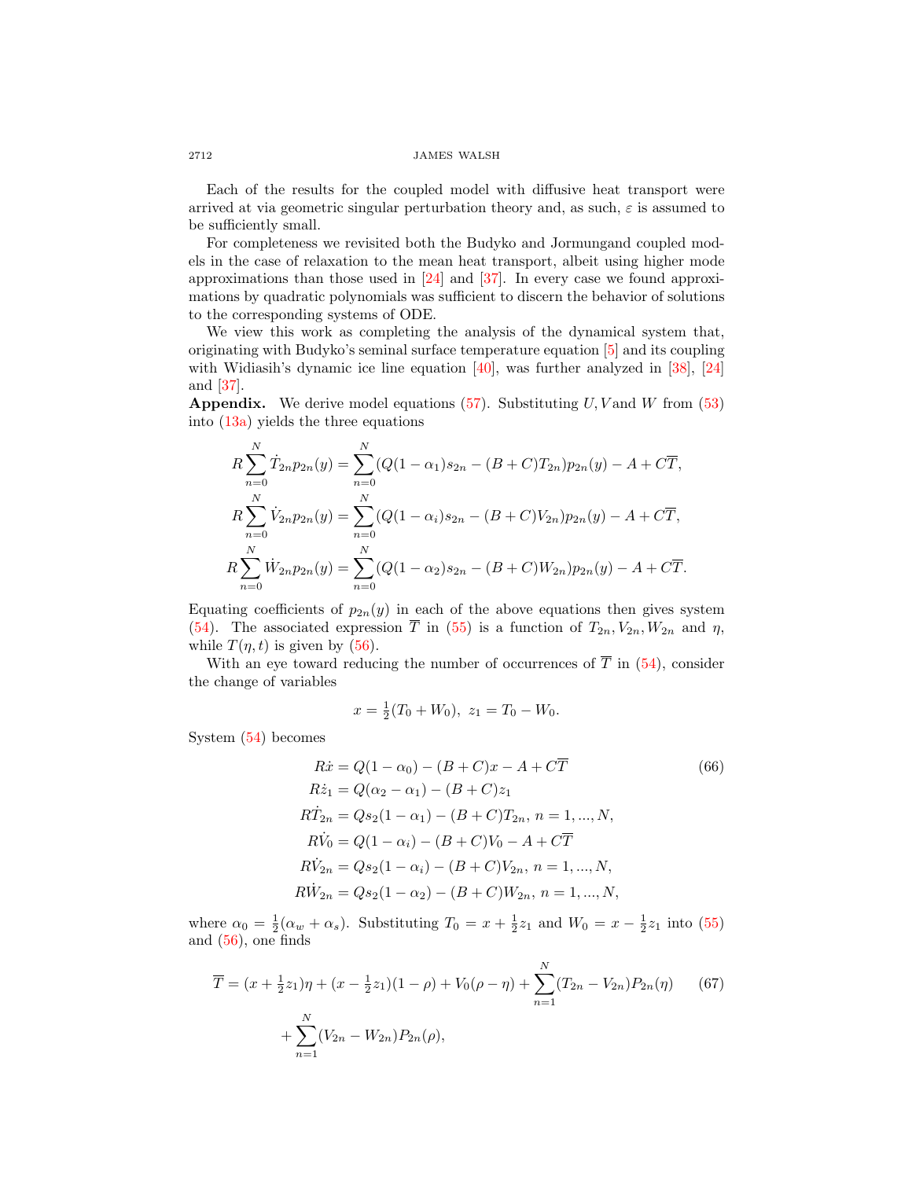Each of the results for the coupled model with diffusive heat transport were arrived at via geometric singular perturbation theory and, as such,  $\varepsilon$  is assumed to be sufficiently small.

For completeness we revisited both the Budyko and Jormungand coupled models in the case of relaxation to the mean heat transport, albeit using higher mode approximations than those used in [\[24\]](#page-27-12) and [\[37\]](#page-28-3). In every case we found approximations by quadratic polynomials was sufficient to discern the behavior of solutions to the corresponding systems of ODE.

We view this work as completing the analysis of the dynamical system that, originating with Budyko's seminal surface temperature equation [\[5\]](#page-26-7) and its coupling with Widiasih's dynamic ice line equation [\[40\]](#page-28-1), was further analyzed in [\[38\]](#page-28-2), [\[24\]](#page-27-12) and [\[37\]](#page-28-3).

**Appendix.** We derive model equations [\(57\)](#page-21-1). Substituting  $U$ , V and  $W$  from [\(53\)](#page-19-1) into [\(13a\)](#page-5-3) yields the three equations

$$
R\sum_{n=0}^{N} \dot{T}_{2n}p_{2n}(y) = \sum_{n=0}^{N} (Q(1-\alpha_1)s_{2n} - (B+C)T_{2n})p_{2n}(y) - A + C\overline{T},
$$
  
\n
$$
R\sum_{n=0}^{N} \dot{V}_{2n}p_{2n}(y) = \sum_{n=0}^{N} (Q(1-\alpha_i)s_{2n} - (B+C)V_{2n})p_{2n}(y) - A + C\overline{T},
$$
  
\n
$$
R\sum_{n=0}^{N} \dot{W}_{2n}p_{2n}(y) = \sum_{n=0}^{N} (Q(1-\alpha_2)s_{2n} - (B+C)W_{2n})p_{2n}(y) - A + C\overline{T}.
$$

Equating coefficients of  $p_{2n}(y)$  in each of the above equations then gives system [\(54\)](#page-21-0). The associated expression  $\overline{T}$  in [\(55\)](#page-21-7) is a function of  $T_{2n}, V_{2n}, W_{2n}$  and  $\eta$ , while  $T(\eta, t)$  is given by [\(56\)](#page-21-8).

With an eye toward reducing the number of occurrences of  $\overline{T}$  in [\(54\)](#page-21-0), consider the change of variables

<span id="page-25-1"></span><span id="page-25-0"></span>
$$
x = \frac{1}{2}(T_0 + W_0), \ z_1 = T_0 - W_0.
$$

System [\(54\)](#page-21-0) becomes

$$
R\dot{x} = Q(1 - \alpha_0) - (B + C)x - A + C\overline{T}
$$
(66)  
\n
$$
R\dot{z}_1 = Q(\alpha_2 - \alpha_1) - (B + C)z_1
$$
  
\n
$$
R\dot{T}_{2n} = Qs_2(1 - \alpha_1) - (B + C)T_{2n}, n = 1, ..., N,
$$
  
\n
$$
R\dot{V}_0 = Q(1 - \alpha_i) - (B + C)V_0 - A + C\overline{T}
$$
  
\n
$$
R\dot{V}_{2n} = Qs_2(1 - \alpha_i) - (B + C)V_{2n}, n = 1, ..., N,
$$
  
\n
$$
R\dot{W}_{2n} = Qs_2(1 - \alpha_2) - (B + C)W_{2n}, n = 1, ..., N,
$$

where  $\alpha_0 = \frac{1}{2}(\alpha_w + \alpha_s)$ . Substituting  $T_0 = x + \frac{1}{2}z_1$  and  $W_0 = x - \frac{1}{2}z_1$  into [\(55\)](#page-21-7) and [\(56\)](#page-21-8), one finds

$$
\overline{T} = (x + \frac{1}{2}z_1)\eta + (x - \frac{1}{2}z_1)(1 - \rho) + V_0(\rho - \eta) + \sum_{n=1}^{N} (T_{2n} - V_{2n})P_{2n}(\eta)
$$
(67)  
+ 
$$
\sum_{n=1}^{N} (V_{2n} - W_{2n})P_{2n}(\rho),
$$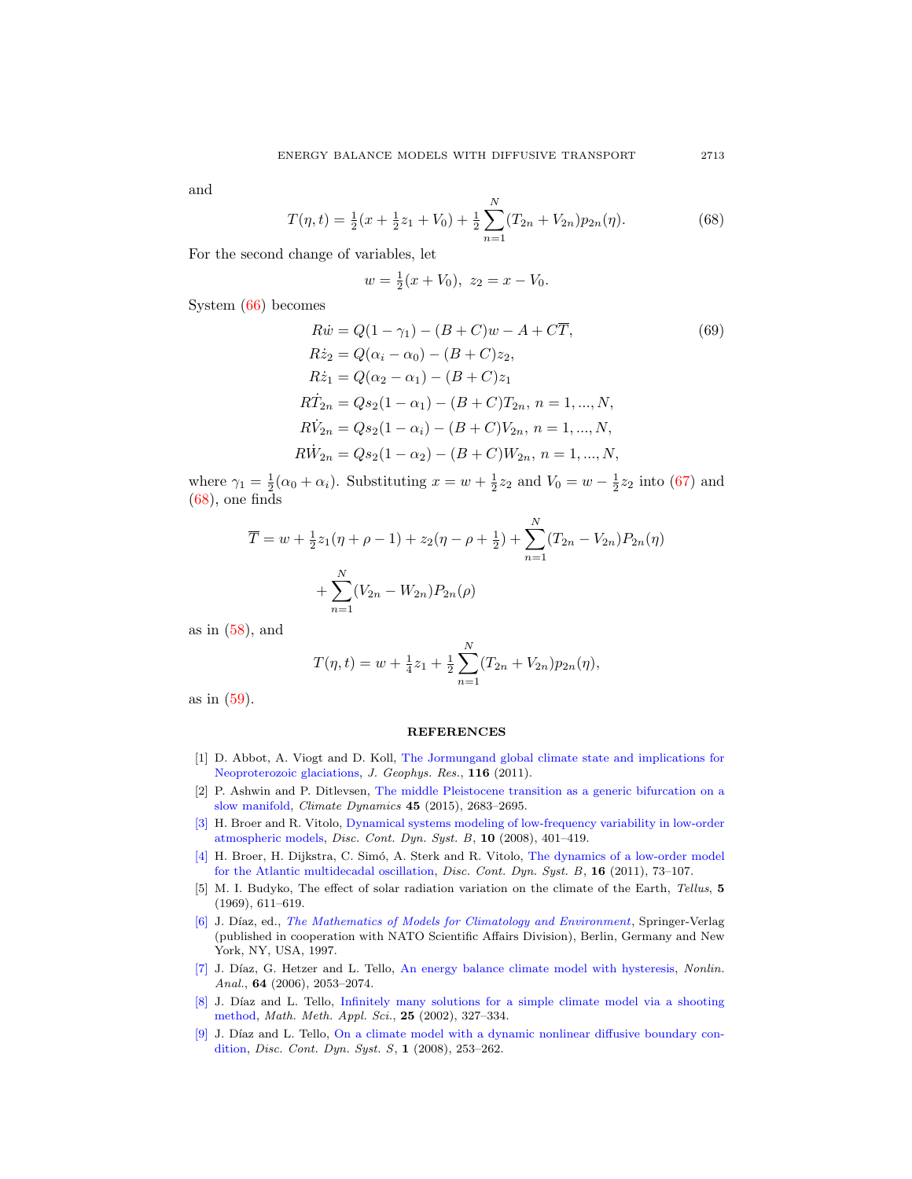and

<span id="page-26-9"></span>
$$
T(\eta, t) = \frac{1}{2}(x + \frac{1}{2}z_1 + V_0) + \frac{1}{2}\sum_{n=1}^{N} (T_{2n} + V_{2n})p_{2n}(\eta).
$$
 (68)

For the second change of variables, let

$$
w = \frac{1}{2}(x + V_0), \ z_2 = x - V_0.
$$

System [\(66\)](#page-25-0) becomes

$$
R\dot{w} = Q(1 - \gamma_1) - (B + C)w - A + C\overline{T},
$$
(69)  
\n
$$
R\dot{z}_2 = Q(\alpha_i - \alpha_0) - (B + C)z_2,
$$
  
\n
$$
R\dot{z}_1 = Q(\alpha_2 - \alpha_1) - (B + C)z_1
$$
  
\n
$$
R\dot{T}_{2n} = Qs_2(1 - \alpha_1) - (B + C)T_{2n}, n = 1, ..., N,
$$
  
\n
$$
R\dot{V}_{2n} = Qs_2(1 - \alpha_i) - (B + C)V_{2n}, n = 1, ..., N,
$$
  
\n
$$
R\dot{W}_{2n} = Qs_2(1 - \alpha_2) - (B + C)W_{2n}, n = 1, ..., N,
$$

where  $\gamma_1 = \frac{1}{2}(\alpha_0 + \alpha_i)$ . Substituting  $x = w + \frac{1}{2}z_2$  and  $V_0 = w - \frac{1}{2}z_2$  into [\(67\)](#page-25-1) and [\(68\)](#page-26-9), one finds

$$
\overline{T} = w + \frac{1}{2}z_1(\eta + \rho - 1) + z_2(\eta - \rho + \frac{1}{2}) + \sum_{n=1}^{N} (T_{2n} - V_{2n})P_{2n}(\eta) + \sum_{n=1}^{N} (V_{2n} - W_{2n})P_{2n}(\rho)
$$

as in  $(58)$ , and

$$
T(\eta, t) = w + \frac{1}{4}z_1 + \frac{1}{2}\sum_{n=1}^{N} (T_{2n} + V_{2n})p_{2n}(\eta),
$$

as in [\(59\)](#page-21-4).

#### **REFERENCES**

- <span id="page-26-8"></span>[1] D. Abbot, A. Viogt and D. Koll, [The Jormungand global climate state and implications for](http://dx.doi.org/10.1029/2011JD015927) [Neoproterozoic glaciations,](http://dx.doi.org/10.1029/2011JD015927) J. Geophys. Res., 116 (2011).
- <span id="page-26-2"></span>[2] P. Ashwin and P. Ditlevsen, [The middle Pleistocene transition as a generic bifurcation on a](http://dx.doi.org/10.1007/s00382-015-2501-9) [slow manifold,](http://dx.doi.org/10.1007/s00382-015-2501-9) Climate Dynamics 45 (2015), 2683–2695.
- <span id="page-26-0"></span>[\[3\]](http://www.ams.org/mathscinet-getitem?mr=MR2425049&return=pdf) H. Broer and R. Vitolo, [Dynamical systems modeling of low-frequency variability in low-order](http://dx.doi.org/10.3934/dcdsb.2008.10.401) [atmospheric models,](http://dx.doi.org/10.3934/dcdsb.2008.10.401) Disc. Cont. Dyn. Syst. B, 10 (2008), 401–419.
- <span id="page-26-1"></span>[\[4\]](http://www.ams.org/mathscinet-getitem?mr=MR2799543&return=pdf) H. Broer, H. Dijkstra, C. Simó, A. Sterk and R. Vitolo, [The dynamics of a low-order model](http://dx.doi.org/10.3934/dcdsb.2011.16.73) [for the Atlantic multidecadal oscillation,](http://dx.doi.org/10.3934/dcdsb.2011.16.73) *Disc. Cont. Dyn. Syst. B*, **16** (2011), 73–107.
- <span id="page-26-7"></span>[5] M. I. Budyko, The effect of solar radiation variation on the climate of the Earth, Tellus, 5 (1969), 611–619.
- <span id="page-26-6"></span>[\[6\]](http://www.ams.org/mathscinet-getitem?mr=MR1635366&return=pdf) J. Díaz, ed., [The Mathematics of Models for Climatology and Environment](http://dx.doi.org/10.1007/978-3-642-60603-8), Springer-Verlag (published in cooperation with NATO Scientific Affairs Division), Berlin, Germany and New York, NY, USA, 1997.
- <span id="page-26-3"></span>[\[7\]](http://www.ams.org/mathscinet-getitem?mr=MR2211199&return=pdf) J. Díaz, G. Hetzer and L. Tello, [An energy balance climate model with hysteresis,](http://dx.doi.org/10.1016/j.na.2005.07.038) Nonlin. Anal., 64 (2006), 2053–2074.
- <span id="page-26-4"></span>[\[8\]](http://www.ams.org/mathscinet-getitem?mr=MR1875706&return=pdf) J. Díaz and L. Tello, [Infinitely many solutions for a simple climate model via a shooting](http://dx.doi.org/10.1002/mma.289) [method,](http://dx.doi.org/10.1002/mma.289) Math. Meth. Appl. Sci., 25 (2002), 327–334.
- <span id="page-26-5"></span> $[9]$  J. Díaz and L. Tello, [On a climate model with a dynamic nonlinear diffusive boundary con](http://dx.doi.org/10.3934/dcdss.2008.1.253)[dition,](http://dx.doi.org/10.3934/dcdss.2008.1.253) Disc. Cont. Dyn. Syst. S, 1 (2008), 253–262.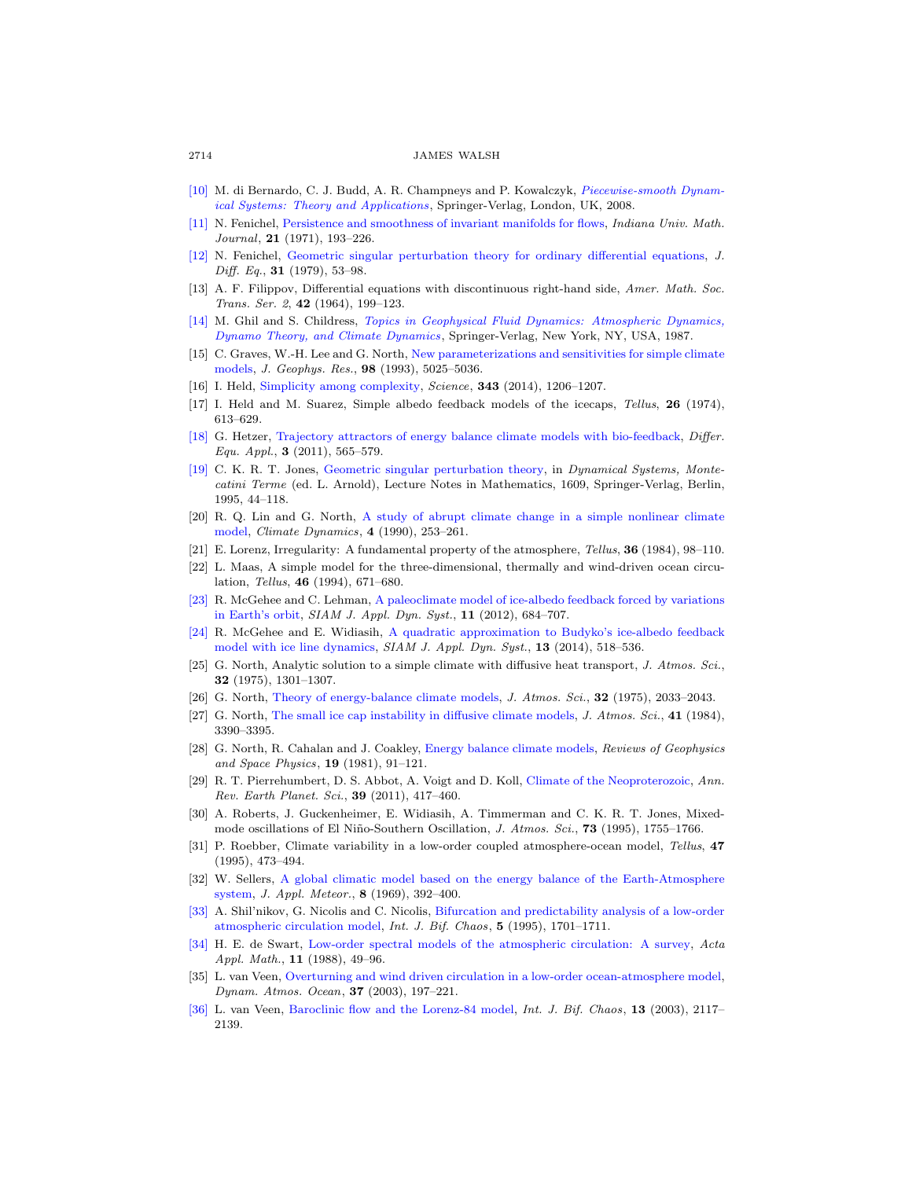- <span id="page-27-19"></span>[\[10\]](http://www.ams.org/mathscinet-getitem?mr=MR2368310&return=pdf) M. di Bernardo, C. J. Budd, A. R. Champneys and P. Kowalczyk, [Piecewise-smooth Dynam](http://dx.doi.org/10.1007/978-1-84628-708-4)[ical Systems: Theory and Applications](http://dx.doi.org/10.1007/978-1-84628-708-4), Springer-Verlag, London, UK, 2008.
- <span id="page-27-22"></span>[\[11\]](http://www.ams.org/mathscinet-getitem?mr=MR0287106&return=pdf) N. Fenichel, [Persistence and smoothness of invariant manifolds for flows,](http://dx.doi.org/10.1512/iumj.1972.21.21017) Indiana Univ. Math. Journal, 21 (1971), 193-226.
- <span id="page-27-23"></span>[\[12\]](http://www.ams.org/mathscinet-getitem?mr=MR524817&return=pdf) N. Fenichel, [Geometric singular perturbation theory for ordinary differential equations,](http://dx.doi.org/10.1016/0022-0396(79)90152-9) J. Diff. Eq., **31** (1979), 53-98.
- <span id="page-27-26"></span>[13] A. F. Filippov, Differential equations with discontinuous right-hand side, Amer. Math. Soc. Trans. Ser. 2, 42 (1964), 199–123.
- <span id="page-27-18"></span>[\[14\]](http://www.ams.org/mathscinet-getitem?mr=MR878761&return=pdf) M. Ghil and S. Childress, [Topics in Geophysical Fluid Dynamics: Atmospheric Dynamics,](http://dx.doi.org/10.1007/978-1-4612-1052-8) [Dynamo Theory, and Climate Dynamics](http://dx.doi.org/10.1007/978-1-4612-1052-8), Springer-Verlag, New York, NY, USA, 1987.
- <span id="page-27-21"></span>[15] C. Graves, W.-H. Lee and G. North, [New parameterizations and sensitivities for simple climate](http://dx.doi.org/10.1029/92JD02666) [models,](http://dx.doi.org/10.1029/92JD02666) J. Geophys. Res., 98 (1993), 5025–5036.
- <span id="page-27-9"></span>[16] I. Held, [Simplicity among complexity,](http://dx.doi.org/10.1126/science.1248447) Science, 343 (2014), 1206–1207.
- <span id="page-27-13"></span>[17] I. Held and M. Suarez, Simple albedo feedback models of the icecaps, Tellus, 26 (1974), 613–629.
- <span id="page-27-8"></span>[\[18\]](http://www.ams.org/mathscinet-getitem?mr=MR2918929&return=pdf) G. Hetzer, [Trajectory attractors of energy balance climate models with bio-feedback,](http://dx.doi.org/10.7153/dea-03-35) Differ. Equ. Appl.,  $3$  (2011), 565-579.
- <span id="page-27-24"></span>[\[19\]](http://www.ams.org/mathscinet-getitem?mr=MR1374108&return=pdf) C. K. R. T. Jones, [Geometric singular perturbation theory,](http://dx.doi.org/10.1007/BFb0095239) in Dynamical Systems, Montecatini Terme (ed. L. Arnold), Lecture Notes in Mathematics, 1609, Springer-Verlag, Berlin, 1995, 44–118.
- <span id="page-27-14"></span>[20] R. Q. Lin and G. North, [A study of abrupt climate change in a simple nonlinear climate](http://dx.doi.org/10.1007/BF00211062) [model,](http://dx.doi.org/10.1007/BF00211062) Climate Dynamics, 4 (1990), 253–261.
- <span id="page-27-0"></span>[21] E. Lorenz, Irregularity: A fundamental property of the atmosphere, Tellus, 36 (1984), 98–110.
- <span id="page-27-1"></span>[22] L. Maas, A simple model for the three-dimensional, thermally and wind-driven ocean circulation, Tellus, 46 (1994), 671–680.
- <span id="page-27-20"></span>[\[23\]](http://www.ams.org/mathscinet-getitem?mr=MR2967461&return=pdf) R. McGehee and C. Lehman, [A paleoclimate model of ice-albedo feedback forced by variations](http://dx.doi.org/10.1137/10079879X) [in Earth's orbit,](http://dx.doi.org/10.1137/10079879X) SIAM J. Appl. Dyn. Syst., 11 (2012), 684–707.
- <span id="page-27-12"></span>[\[24\]](http://www.ams.org/mathscinet-getitem?mr=MR3181696&return=pdf) R. McGehee and E. Widiasih, [A quadratic approximation to Budyko's ice-albedo feedback](http://dx.doi.org/10.1137/120871286) [model with ice line dynamics,](http://dx.doi.org/10.1137/120871286) SIAM J. Appl. Dyn. Syst., 13 (2014), 518–536.
- <span id="page-27-15"></span>[25] G. North, Analytic solution to a simple climate with diffusive heat transport, J. Atmos. Sci., 32 (1975), 1301–1307.
- <span id="page-27-16"></span>[26] G. North, [Theory of energy-balance climate models,](http://dx.doi.org/10.1175/1520-0469(1975)032<2033:TOEBCM>2.0.CO;2) J. Atmos. Sci., 32 (1975), 2033–2043.
- <span id="page-27-25"></span>[27] G. North, [The small ice cap instability in diffusive climate models,](http://dx.doi.org/10.1175/1520-0469(1984)041<3390:TSICII>2.0.CO;2) J. Atmos. Sci., 41 (1984), 3390–3395.
- <span id="page-27-17"></span>[28] G. North, R. Cahalan and J. Coakley, [Energy balance climate models,](http://dx.doi.org/10.1029/RG019i001p00091) Reviews of Geophysics and Space Physics, 19 (1981), 91–121.
- <span id="page-27-11"></span>[29] R. T. Pierrehumbert, D. S. Abbot, A. Voigt and D. Koll, [Climate of the Neoproterozoic,](http://dx.doi.org/10.1146/annurev-earth-040809-152447) Ann. Rev. Earth Planet. Sci., 39 (2011), 417–460.
- <span id="page-27-7"></span>[30] A. Roberts, J. Guckenheimer, E. Widiasih, A. Timmerman and C. K. R. T. Jones, Mixedmode oscillations of El Niño-Southern Oscillation, J. Atmos. Sci., **73** (1995), 1755–1766.
- <span id="page-27-5"></span>[31] P. Roebber, Climate variability in a low-order coupled atmosphere-ocean model, Tellus, 47 (1995), 473–494.
- <span id="page-27-10"></span>[32] W. Sellers, [A global climatic model based on the energy balance of the Earth-Atmosphere](http://dx.doi.org/10.1175/1520-0450(1969)008<0392:AGCMBO>2.0.CO;2) [system,](http://dx.doi.org/10.1175/1520-0450(1969)008<0392:AGCMBO>2.0.CO;2) J. Appl. Meteor., 8 (1969), 392–400.
- <span id="page-27-2"></span>[\[33\]](http://www.ams.org/mathscinet-getitem?mr=MR1372641&return=pdf) A. Shil'nikov, G. Nicolis and C. Nicolis, [Bifurcation and predictability analysis of a low-order](http://dx.doi.org/10.1142/S0218127495001253) [atmospheric circulation model,](http://dx.doi.org/10.1142/S0218127495001253) Int. J. Bif. Chaos, 5 (1995), 1701–1711.
- <span id="page-27-3"></span>[\[34\]](http://www.ams.org/mathscinet-getitem?mr=MR0927372&return=pdf) H. E. de Swart, [Low-order spectral models of the atmospheric circulation: A survey,](http://dx.doi.org/10.1007/BF00047114) Acta Appl. Math., 11 (1988), 49–96.
- <span id="page-27-6"></span>[35] L. van Veen, [Overturning and wind driven circulation in a low-order ocean-atmosphere model,](http://dx.doi.org/10.1016/S0377-0265(03)00032-0) Dynam. Atmos. Ocean, 37 (2003), 197–221.
- <span id="page-27-4"></span>[\[36\]](http://www.ams.org/mathscinet-getitem?mr=MR2012650&return=pdf) L. van Veen, [Baroclinic flow and the Lorenz-84 model,](http://dx.doi.org/10.1142/S0218127403007904) Int. J. Bif. Chaos, 13 (2003), 2117– 2139.